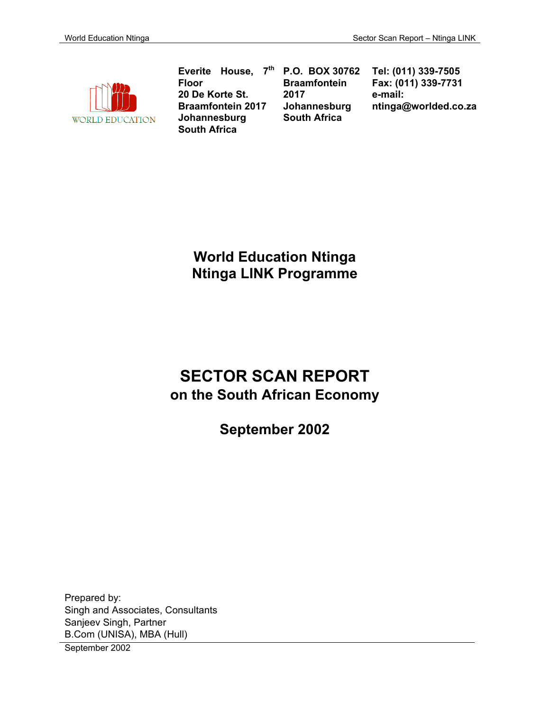

**Everite House, 7th Floor 20 De Korte St. Braamfontein 2017 Johannesburg South Africa**

**P.O. BOX 30762 Braamfontein 2017 Johannesburg South Africa**

**Tel: (011) 339-7505 Fax: (011) 339-7731 e-mail: ntinga@worlded.co.za** 

**World Education Ntinga Ntinga LINK Programme** 

# **SECTOR SCAN REPORT on the South African Economy**

**September 2002** 

Prepared by: Singh and Associates, Consultants Sanjeev Singh, Partner B.Com (UNISA), MBA (Hull)

September 2002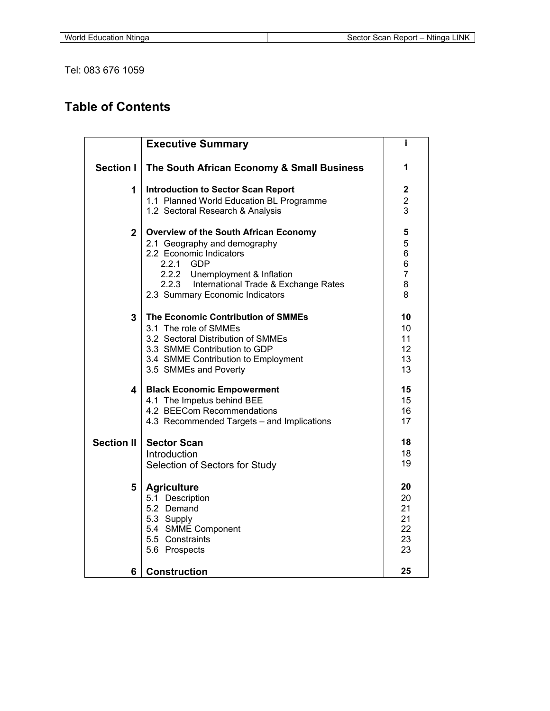Tel: 083 676 1059

# **Table of Contents**

|                   | <b>Executive Summary</b>                                                                                                                                                                                                                             | Î.                                             |
|-------------------|------------------------------------------------------------------------------------------------------------------------------------------------------------------------------------------------------------------------------------------------------|------------------------------------------------|
| <b>Section I</b>  | The South African Economy & Small Business                                                                                                                                                                                                           | 1                                              |
| 1                 | <b>Introduction to Sector Scan Report</b><br>1.1 Planned World Education BL Programme<br>1.2 Sectoral Research & Analysis                                                                                                                            | $\overline{\mathbf{c}}$<br>$\overline{c}$<br>3 |
| $\mathbf{2}$      | <b>Overview of the South African Economy</b><br>2.1 Geography and demography<br>2.2 Economic Indicators<br>2.2.1<br><b>GDP</b><br>2.2.2<br>Unemployment & Inflation<br>2.2.3 International Trade & Exchange Rates<br>2.3 Summary Economic Indicators | 5<br>5<br>6<br>6<br>$\overline{7}$<br>8<br>8   |
| 3                 | The Economic Contribution of SMMEs<br>3.1 The role of SMMEs<br>3.2 Sectoral Distribution of SMMEs<br>3.3 SMME Contribution to GDP<br>3.4 SMME Contribution to Employment<br>3.5 SMMEs and Poverty                                                    | 10<br>10<br>11<br>12<br>13<br>13               |
| 4                 | <b>Black Economic Empowerment</b><br>4.1 The Impetus behind BEE<br>4.2 BEECom Recommendations<br>4.3 Recommended Targets - and Implications                                                                                                          | 15<br>15<br>16<br>17                           |
| <b>Section II</b> | <b>Sector Scan</b><br>Introduction<br>Selection of Sectors for Study                                                                                                                                                                                 | 18<br>18<br>19                                 |
| 5                 | <b>Agriculture</b><br>5.1 Description<br>5.2 Demand<br>5.3 Supply<br>5.4 SMME Component<br>5.5 Constraints<br>5.6 Prospects                                                                                                                          | 20<br>20<br>21<br>21<br>22<br>23<br>23         |
| 6                 | <b>Construction</b>                                                                                                                                                                                                                                  | 25                                             |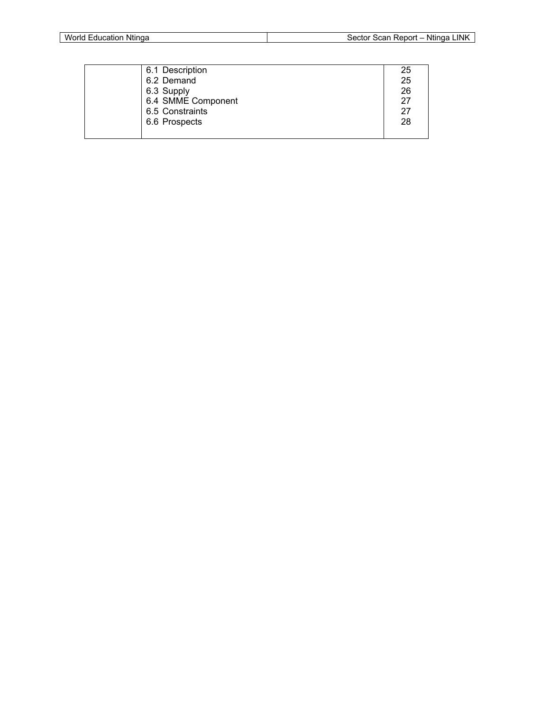| 6.1 Description    | 25 |
|--------------------|----|
| 6.2 Demand         | 25 |
| 6.3 Supply         | 26 |
| 6.4 SMME Component | 27 |
| 6.5 Constraints    | 27 |
| 6.6 Prospects      | 28 |
|                    |    |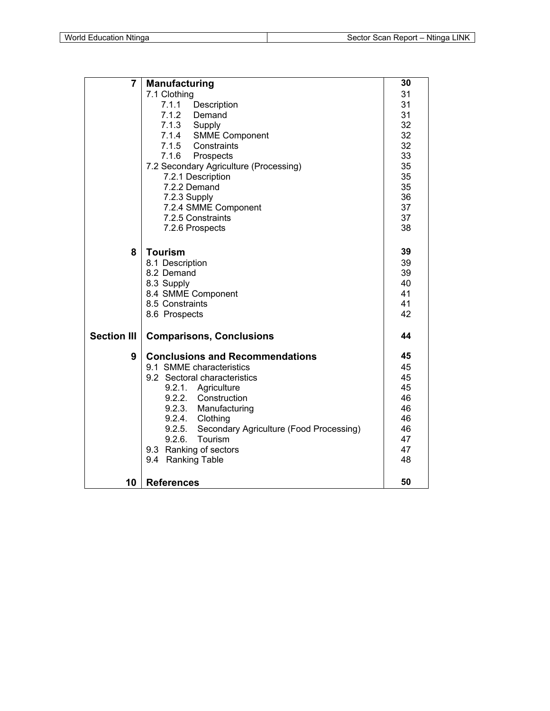| $\overline{7}$     | <b>Manufacturing</b>                              | 30 |
|--------------------|---------------------------------------------------|----|
|                    | 7.1 Clothing                                      | 31 |
|                    | 7.1.1 Description                                 | 31 |
|                    | 7.1.2 Demand                                      | 31 |
|                    | 7.1.3 Supply                                      | 32 |
|                    | 7.1.4 SMME Component                              | 32 |
|                    | 7.1.5 Constraints                                 | 32 |
|                    | 7.1.6 Prospects                                   | 33 |
|                    | 7.2 Secondary Agriculture (Processing)            | 35 |
|                    | 7.2.1 Description                                 | 35 |
|                    | 7.2.2 Demand                                      | 35 |
|                    | 7.2.3 Supply                                      | 36 |
|                    | 7.2.4 SMME Component                              | 37 |
|                    | 7.2.5 Constraints                                 | 37 |
|                    | 7.2.6 Prospects                                   | 38 |
| 8                  | <b>Tourism</b>                                    | 39 |
|                    | 8.1 Description                                   | 39 |
|                    | 8.2 Demand                                        | 39 |
|                    | 8.3 Supply                                        | 40 |
|                    | 8.4 SMME Component                                | 41 |
|                    | 8.5 Constraints                                   | 41 |
|                    | 8.6 Prospects                                     | 42 |
| <b>Section III</b> | <b>Comparisons, Conclusions</b>                   | 44 |
| 9                  | <b>Conclusions and Recommendations</b>            | 45 |
|                    | 9.1 SMME characteristics                          | 45 |
|                    | 9.2 Sectoral characteristics                      | 45 |
|                    | 9.2.1. Agriculture                                | 45 |
|                    | 9.2.2. Construction                               | 46 |
|                    | 9.2.3. Manufacturing                              | 46 |
|                    | 9.2.4. Clothing                                   | 46 |
|                    | Secondary Agriculture (Food Processing)<br>9.2.5. | 46 |
|                    | 9.2.6.<br>Tourism                                 | 47 |
|                    | 9.3 Ranking of sectors                            | 47 |
|                    | 9.4 Ranking Table                                 | 48 |
| 10                 | <b>References</b>                                 | 50 |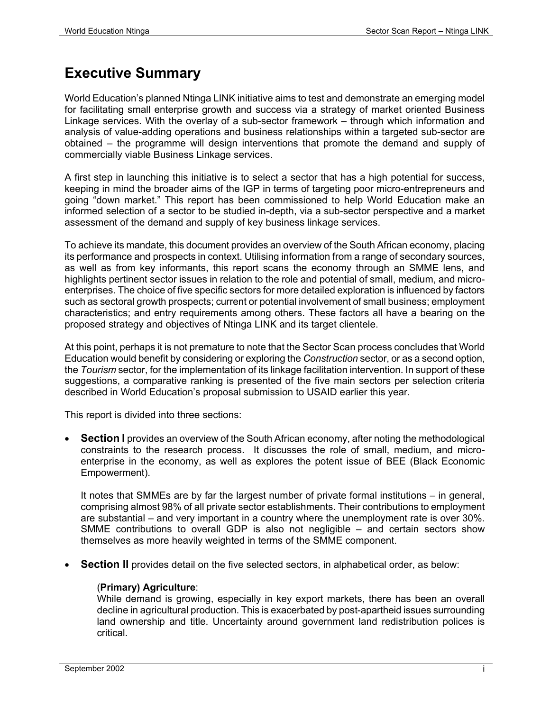# **Executive Summary**

World Education's planned Ntinga LINK initiative aims to test and demonstrate an emerging model for facilitating small enterprise growth and success via a strategy of market oriented Business Linkage services. With the overlay of a sub-sector framework – through which information and analysis of value-adding operations and business relationships within a targeted sub-sector are obtained – the programme will design interventions that promote the demand and supply of commercially viable Business Linkage services.

A first step in launching this initiative is to select a sector that has a high potential for success, keeping in mind the broader aims of the IGP in terms of targeting poor micro-entrepreneurs and going "down market." This report has been commissioned to help World Education make an informed selection of a sector to be studied in-depth, via a sub-sector perspective and a market assessment of the demand and supply of key business linkage services.

To achieve its mandate, this document provides an overview of the South African economy, placing its performance and prospects in context. Utilising information from a range of secondary sources, as well as from key informants, this report scans the economy through an SMME lens, and highlights pertinent sector issues in relation to the role and potential of small, medium, and microenterprises. The choice of five specific sectors for more detailed exploration is influenced by factors such as sectoral growth prospects; current or potential involvement of small business; employment characteristics; and entry requirements among others. These factors all have a bearing on the proposed strategy and objectives of Ntinga LINK and its target clientele.

At this point, perhaps it is not premature to note that the Sector Scan process concludes that World Education would benefit by considering or exploring the *Construction* sector, or as a second option, the *Tourism* sector, for the implementation of its linkage facilitation intervention. In support of these suggestions, a comparative ranking is presented of the five main sectors per selection criteria described in World Education's proposal submission to USAID earlier this year.

This report is divided into three sections:

**Section I** provides an overview of the South African economy, after noting the methodological constraints to the research process. It discusses the role of small, medium, and microenterprise in the economy, as well as explores the potent issue of BEE (Black Economic Empowerment).

It notes that SMMEs are by far the largest number of private formal institutions – in general, comprising almost 98% of all private sector establishments. Their contributions to employment are substantial – and very important in a country where the unemployment rate is over 30%. SMME contributions to overall GDP is also not negligible – and certain sectors show themselves as more heavily weighted in terms of the SMME component.

**Section II** provides detail on the five selected sectors, in alphabetical order, as below:

#### (**Primary) Agriculture**:

While demand is growing, especially in key export markets, there has been an overall decline in agricultural production. This is exacerbated by post-apartheid issues surrounding land ownership and title. Uncertainty around government land redistribution polices is critical.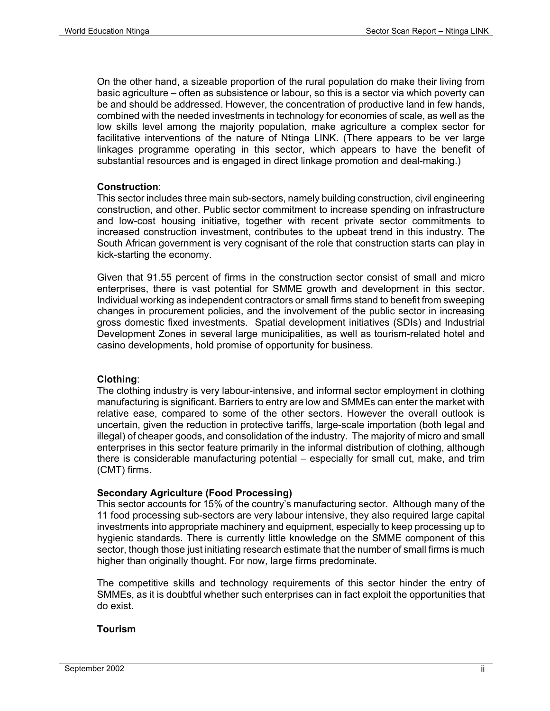On the other hand, a sizeable proportion of the rural population do make their living from basic agriculture – often as subsistence or labour, so this is a sector via which poverty can be and should be addressed. However, the concentration of productive land in few hands, combined with the needed investments in technology for economies of scale, as well as the low skills level among the majority population, make agriculture a complex sector for facilitative interventions of the nature of Ntinga LINK. (There appears to be ver large linkages programme operating in this sector, which appears to have the benefit of substantial resources and is engaged in direct linkage promotion and deal-making.)

#### **Construction**:

This sector includes three main sub-sectors, namely building construction, civil engineering construction, and other. Public sector commitment to increase spending on infrastructure and low-cost housing initiative, together with recent private sector commitments to increased construction investment, contributes to the upbeat trend in this industry. The South African government is very cognisant of the role that construction starts can play in kick-starting the economy.

Given that 91.55 percent of firms in the construction sector consist of small and micro enterprises, there is vast potential for SMME growth and development in this sector. Individual working as independent contractors or small firms stand to benefit from sweeping changes in procurement policies, and the involvement of the public sector in increasing gross domestic fixed investments. Spatial development initiatives (SDIs) and Industrial Development Zones in several large municipalities, as well as tourism-related hotel and casino developments, hold promise of opportunity for business.

#### **Clothing**:

The clothing industry is very labour-intensive, and informal sector employment in clothing manufacturing is significant. Barriers to entry are low and SMMEs can enter the market with relative ease, compared to some of the other sectors. However the overall outlook is uncertain, given the reduction in protective tariffs, large-scale importation (both legal and illegal) of cheaper goods, and consolidation of the industry. The majority of micro and small enterprises in this sector feature primarily in the informal distribution of clothing, although there is considerable manufacturing potential – especially for small cut, make, and trim (CMT) firms.

#### **Secondary Agriculture (Food Processing)**

This sector accounts for 15% of the country's manufacturing sector. Although many of the 11 food processing sub-sectors are very labour intensive, they also required large capital investments into appropriate machinery and equipment, especially to keep processing up to hygienic standards. There is currently little knowledge on the SMME component of this sector, though those just initiating research estimate that the number of small firms is much higher than originally thought. For now, large firms predominate.

The competitive skills and technology requirements of this sector hinder the entry of SMMEs, as it is doubtful whether such enterprises can in fact exploit the opportunities that do exist.

#### **Tourism**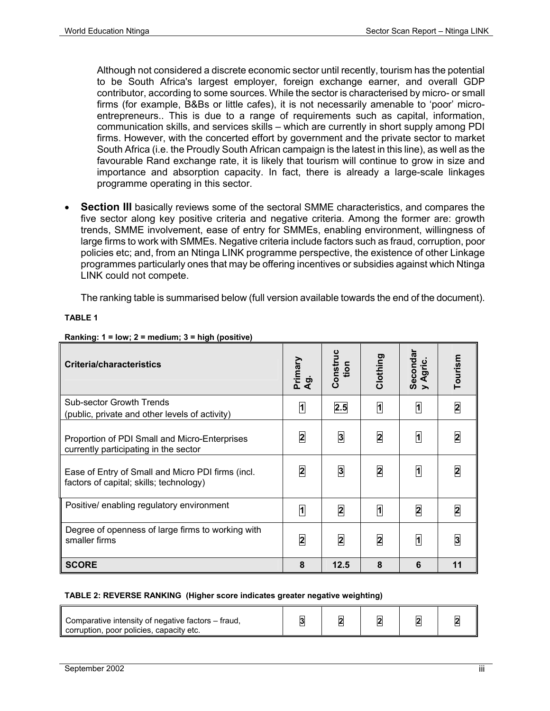Although not considered a discrete economic sector until recently, tourism has the potential to be South Africa's largest employer, foreign exchange earner, and overall GDP contributor, according to some sources. While the sector is characterised by micro- or small firms (for example, B&Bs or little cafes), it is not necessarily amenable to 'poor' microentrepreneurs.. This is due to a range of requirements such as capital, information, communication skills, and services skills – which are currently in short supply among PDI firms. However, with the concerted effort by government and the private sector to market South Africa (i.e. the Proudly South African campaign is the latest in this line), as well as the favourable Rand exchange rate, it is likely that tourism will continue to grow in size and importance and absorption capacity. In fact, there is already a large-scale linkages programme operating in this sector.

**Section III** basically reviews some of the sectoral SMME characteristics, and compares the five sector along key positive criteria and negative criteria. Among the former are: growth trends, SMME involvement, ease of entry for SMMEs, enabling environment, willingness of large firms to work with SMMEs. Negative criteria include factors such as fraud, corruption, poor policies etc; and, from an Ntinga LINK programme perspective, the existence of other Linkage programmes particularly ones that may be offering incentives or subsidies against which Ntinga LINK could not compete.

The ranking table is summarised below (full version available towards the end of the document).

**TABLE 1** 

| <b>Criteria/characteristics</b>                                                              | Primary<br>ರಾ<br>◀ | Construc<br>tion        | Clothing                | Seconda<br>Agric.       | Tourism                 |
|----------------------------------------------------------------------------------------------|--------------------|-------------------------|-------------------------|-------------------------|-------------------------|
| <b>Sub-sector Growth Trends</b><br>(public, private and other levels of activity)            | $\overline{1}$     | 2.5                     | $\overline{\mathbf{a}}$ | $\overline{1}$          | $\overline{\mathbf{2}}$ |
| Proportion of PDI Small and Micro-Enterprises<br>currently participating in the sector       | $\overline{2}$     | $\mathbf{3}$            | 2                       | 1                       | 2                       |
| Ease of Entry of Small and Micro PDI firms (incl.<br>factors of capital; skills; technology) | $\overline{2}$     | $\overline{3}$          | $\overline{\mathbf{2}}$ | 1                       | $\mathbf{z}$            |
| Positive/ enabling regulatory environment                                                    | $\overline{1}$     | $\overline{\mathbf{2}}$ | $\overline{\mathbf{a}}$ | $\overline{\mathbf{2}}$ | 2                       |
| Degree of openness of large firms to working with<br>smaller firms                           | $\overline{2}$     | 2                       | 2                       | 1                       | 3                       |
| <b>SCORE</b>                                                                                 | 8                  | 12.5                    | 8                       | 6                       | 11                      |

#### **Ranking: 1 = low; 2 = medium; 3 = high (positive)**

#### **TABLE 2: REVERSE RANKING (Higher score indicates greater negative weighting)**

| Comparative intensity of negative factors – fraud,<br>corruption, poor policies, capacity etc. | e |  |  |  |  |
|------------------------------------------------------------------------------------------------|---|--|--|--|--|
|------------------------------------------------------------------------------------------------|---|--|--|--|--|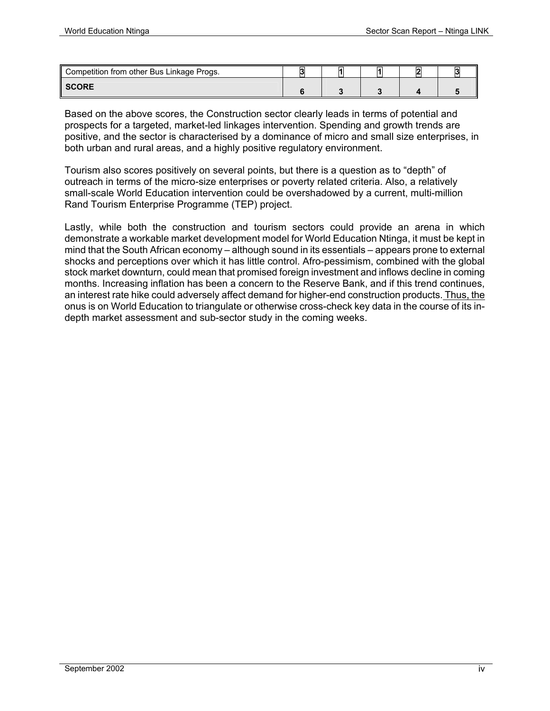| Competition from other Bus Linkage Progs. | и |  | $\mathsf{I}$ |
|-------------------------------------------|---|--|--------------|
| <b>SCORE</b>                              |   |  |              |

Based on the above scores, the Construction sector clearly leads in terms of potential and prospects for a targeted, market-led linkages intervention. Spending and growth trends are positive, and the sector is characterised by a dominance of micro and small size enterprises, in both urban and rural areas, and a highly positive regulatory environment.

Tourism also scores positively on several points, but there is a question as to "depth" of outreach in terms of the micro-size enterprises or poverty related criteria. Also, a relatively small-scale World Education intervention could be overshadowed by a current, multi-million Rand Tourism Enterprise Programme (TEP) project.

Lastly, while both the construction and tourism sectors could provide an arena in which demonstrate a workable market development model for World Education Ntinga, it must be kept in mind that the South African economy – although sound in its essentials – appears prone to external shocks and perceptions over which it has little control. Afro-pessimism, combined with the global stock market downturn, could mean that promised foreign investment and inflows decline in coming months. Increasing inflation has been a concern to the Reserve Bank, and if this trend continues, an interest rate hike could adversely affect demand for higher-end construction products. Thus, the onus is on World Education to triangulate or otherwise cross-check key data in the course of its indepth market assessment and sub-sector study in the coming weeks.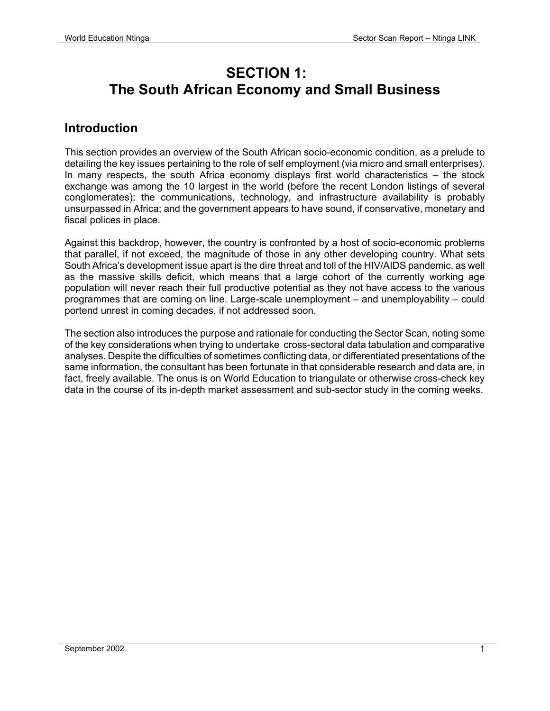# **SECTION 1: The South African Economy and Small Business**

#### **Introduction**

This section provides an overview of the South African socio-economic condition, as a prelude to detailing the key issues pertaining to the role of self employment (via micro and small enterprises). In many respects, the south Africa economy displays first world characteristics – the stock exchange was among the 10 largest in the world (before the recent London listings of several conglomerates); the communications, technology, and infrastructure availability is probably unsurpassed in Africa; and the government appears to have sound, if conservative, monetary and fiscal polices in place.

Against this backdrop, however, the country is confronted by a host of socio-economic problems that parallel, if not exceed, the magnitude of those in any other developing country. What sets South Africa's development issue apart is the dire threat and toll of the HIV/AIDS pandemic, as well as the massive skills deficit, which means that a large cohort of the currently working age population will never reach their full productive potential as they not have access to the various programmes that are coming on line. Large-scale unemployment – and unemployability – could portend unrest in coming decades, if not addressed soon.

The section also introduces the purpose and rationale for conducting the Sector Scan, noting some of the key considerations when trying to undertake cross-sectoral data tabulation and comparative analyses. Despite the difficulties of sometimes conflicting data, or differentiated presentations of the same information, the consultant has been fortunate in that considerable research and data are, in fact, freely available. The onus is on World Education to triangulate or otherwise cross-check key data in the course of its in-depth market assessment and sub-sector study in the coming weeks.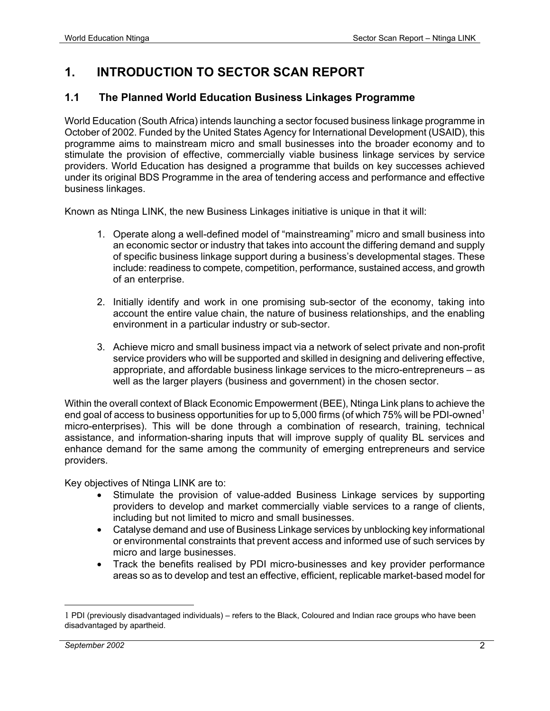# **1. INTRODUCTION TO SECTOR SCAN REPORT**

#### **1.1 The Planned World Education Business Linkages Programme**

World Education (South Africa) intends launching a sector focused business linkage programme in October of 2002. Funded by the United States Agency for International Development (USAID), this programme aims to mainstream micro and small businesses into the broader economy and to stimulate the provision of effective, commercially viable business linkage services by service providers. World Education has designed a programme that builds on key successes achieved under its original BDS Programme in the area of tendering access and performance and effective business linkages.

Known as Ntinga LINK, the new Business Linkages initiative is unique in that it will:

- 1. Operate along a well-defined model of "mainstreaming" micro and small business into an economic sector or industry that takes into account the differing demand and supply of specific business linkage support during a business's developmental stages. These include: readiness to compete, competition, performance, sustained access, and growth of an enterprise.
- 2. Initially identify and work in one promising sub-sector of the economy, taking into account the entire value chain, the nature of business relationships, and the enabling environment in a particular industry or sub-sector.
- 3. Achieve micro and small business impact via a network of select private and non-profit service providers who will be supported and skilled in designing and delivering effective, appropriate, and affordable business linkage services to the micro-entrepreneurs – as well as the larger players (business and government) in the chosen sector.

Within the overall context of Black Economic Empowerment (BEE), Ntinga Link plans to achieve the end goal of access to business opportunities for up to 5,000 firms (of which 75% will be PDI-owned<sup>1</sup> micro-enterprises). This will be done through a combination of research, training, technical assistance, and information-sharing inputs that will improve supply of quality BL services and enhance demand for the same among the community of emerging entrepreneurs and service providers.

Key objectives of Ntinga LINK are to:

- Stimulate the provision of value-added Business Linkage services by supporting providers to develop and market commercially viable services to a range of clients, including but not limited to micro and small businesses.
- Catalyse demand and use of Business Linkage services by unblocking key informational or environmental constraints that prevent access and informed use of such services by micro and large businesses.
- Track the benefits realised by PDI micro-businesses and key provider performance areas so as to develop and test an effective, efficient, replicable market-based model for

1

<sup>1</sup> PDI (previously disadvantaged individuals) – refers to the Black, Coloured and Indian race groups who have been disadvantaged by apartheid.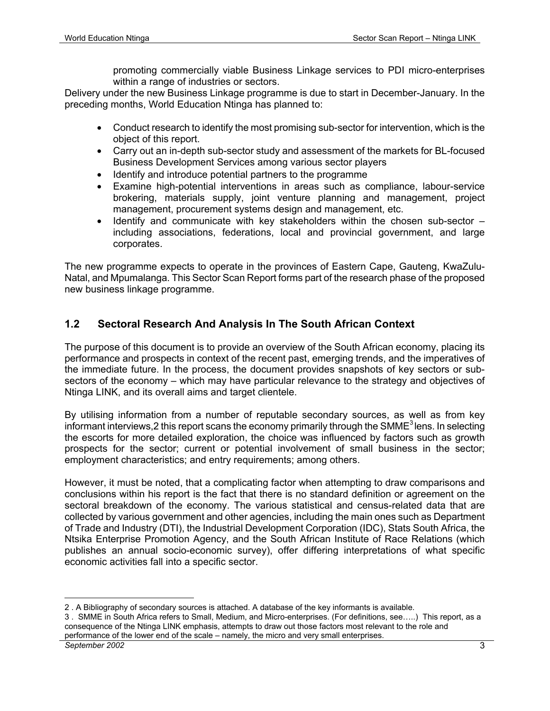promoting commercially viable Business Linkage services to PDI micro-enterprises within a range of industries or sectors.

Delivery under the new Business Linkage programme is due to start in December-January. In the preceding months, World Education Ntinga has planned to:

- Conduct research to identify the most promising sub-sector for intervention, which is the object of this report.
- Carry out an in-depth sub-sector study and assessment of the markets for BL-focused Business Development Services among various sector players
- Identify and introduce potential partners to the programme
- Examine high-potential interventions in areas such as compliance, labour-service brokering, materials supply, joint venture planning and management, project management, procurement systems design and management, etc.
- Identify and communicate with key stakeholders within the chosen sub-sector including associations, federations, local and provincial government, and large corporates.

The new programme expects to operate in the provinces of Eastern Cape, Gauteng, KwaZulu-Natal, and Mpumalanga. This Sector Scan Report forms part of the research phase of the proposed new business linkage programme.

#### **1.2 Sectoral Research And Analysis In The South African Context**

The purpose of this document is to provide an overview of the South African economy, placing its performance and prospects in context of the recent past, emerging trends, and the imperatives of the immediate future. In the process, the document provides snapshots of key sectors or subsectors of the economy – which may have particular relevance to the strategy and objectives of Ntinga LINK, and its overall aims and target clientele.

By utilising information from a number of reputable secondary sources, as well as from key informant interviews. 2 this report scans the economy primarily through the SMME<sup>3</sup> lens. In selecting the escorts for more detailed exploration, the choice was influenced by factors such as growth prospects for the sector; current or potential involvement of small business in the sector; employment characteristics; and entry requirements; among others.

However, it must be noted, that a complicating factor when attempting to draw comparisons and conclusions within his report is the fact that there is no standard definition or agreement on the sectoral breakdown of the economy. The various statistical and census-related data that are collected by various government and other agencies, including the main ones such as Department of Trade and Industry (DTI), the Industrial Development Corporation (IDC), Stats South Africa, the Ntsika Enterprise Promotion Agency, and the South African Institute of Race Relations (which publishes an annual socio-economic survey), offer differing interpretations of what specific economic activities fall into a specific sector.

<u>.</u>

<sup>2 .</sup> A Bibliography of secondary sources is attached. A database of the key informants is available.

<sup>3 .</sup> SMME in South Africa refers to Small, Medium, and Micro-enterprises. (For definitions, see…..) This report, as a consequence of the Ntinga LINK emphasis, attempts to draw out those factors most relevant to the role and performance of the lower end of the scale – namely, the micro and very small enterprises.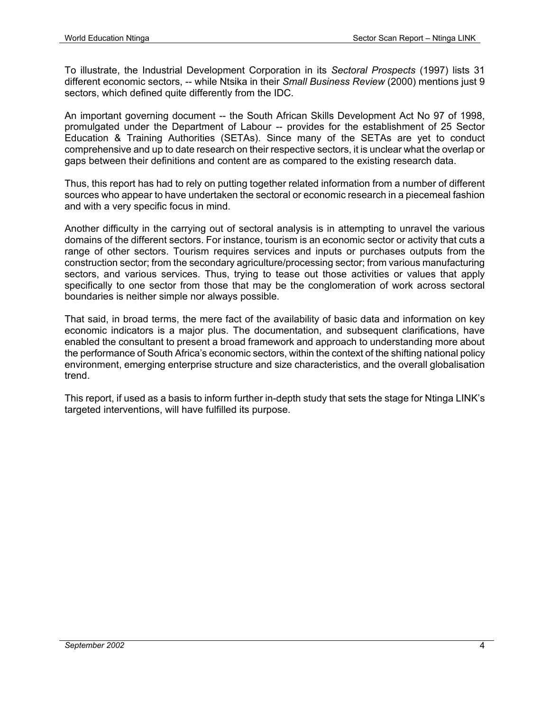To illustrate, the Industrial Development Corporation in its *Sectoral Prospects* (1997) lists 31 different economic sectors, -- while Ntsika in their *Small Business Review* (2000) mentions just 9 sectors, which defined quite differently from the IDC.

An important governing document -- the South African Skills Development Act No 97 of 1998, promulgated under the Department of Labour -- provides for the establishment of 25 Sector Education & Training Authorities (SETAs). Since many of the SETAs are yet to conduct comprehensive and up to date research on their respective sectors, it is unclear what the overlap or gaps between their definitions and content are as compared to the existing research data.

Thus, this report has had to rely on putting together related information from a number of different sources who appear to have undertaken the sectoral or economic research in a piecemeal fashion and with a very specific focus in mind.

Another difficulty in the carrying out of sectoral analysis is in attempting to unravel the various domains of the different sectors. For instance, tourism is an economic sector or activity that cuts a range of other sectors. Tourism requires services and inputs or purchases outputs from the construction sector; from the secondary agriculture/processing sector; from various manufacturing sectors, and various services. Thus, trying to tease out those activities or values that apply specifically to one sector from those that may be the conglomeration of work across sectoral boundaries is neither simple nor always possible.

That said, in broad terms, the mere fact of the availability of basic data and information on key economic indicators is a major plus. The documentation, and subsequent clarifications, have enabled the consultant to present a broad framework and approach to understanding more about the performance of South Africa's economic sectors, within the context of the shifting national policy environment, emerging enterprise structure and size characteristics, and the overall globalisation trend.

This report, if used as a basis to inform further in-depth study that sets the stage for Ntinga LINK's targeted interventions, will have fulfilled its purpose.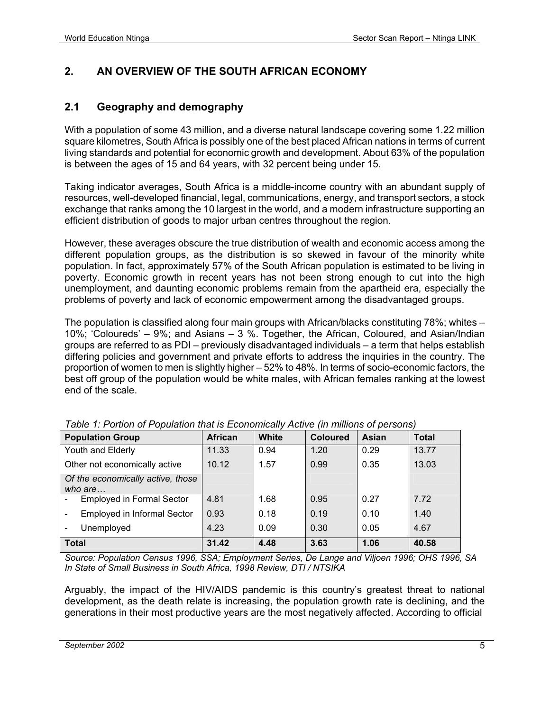#### **2. AN OVERVIEW OF THE SOUTH AFRICAN ECONOMY**

#### **2.1 Geography and demography**

With a population of some 43 million, and a diverse natural landscape covering some 1.22 million square kilometres, South Africa is possibly one of the best placed African nations in terms of current living standards and potential for economic growth and development. About 63% of the population is between the ages of 15 and 64 years, with 32 percent being under 15.

Taking indicator averages, South Africa is a middle-income country with an abundant supply of resources, well-developed financial, legal, communications, energy, and transport sectors, a stock exchange that ranks among the 10 largest in the world, and a modern infrastructure supporting an efficient distribution of goods to major urban centres throughout the region.

However, these averages obscure the true distribution of wealth and economic access among the different population groups, as the distribution is so skewed in favour of the minority white population. In fact, approximately 57% of the South African population is estimated to be living in poverty. Economic growth in recent years has not been strong enough to cut into the high unemployment, and daunting economic problems remain from the apartheid era, especially the problems of poverty and lack of economic empowerment among the disadvantaged groups.

The population is classified along four main groups with African/blacks constituting 78%; whites – 10%; 'Coloureds' – 9%; and Asians – 3 %. Together, the African, Coloured, and Asian/Indian groups are referred to as PDI – previously disadvantaged individuals – a term that helps establish differing policies and government and private efforts to address the inquiries in the country. The proportion of women to men is slightly higher – 52% to 48%. In terms of socio-economic factors, the best off group of the population would be white males, with African females ranking at the lowest end of the scale.

| <b>Population Group</b>                      | <b>African</b> | White | <b>Coloured</b> | Asian | <b>Total</b> |
|----------------------------------------------|----------------|-------|-----------------|-------|--------------|
| Youth and Elderly                            | 11.33          | 0.94  | 1.20            | 0.29  | 13.77        |
| Other not economically active                | 10.12          | 1.57  | 0.99            | 0.35  | 13.03        |
| Of the economically active, those<br>who are |                |       |                 |       |              |
| <b>Employed in Formal Sector</b>             | 4.81           | 1.68  | 0.95            | 0.27  | 7.72         |
| <b>Employed in Informal Sector</b>           | 0.93           | 0.18  | 0.19            | 0.10  | 1.40         |
| Unemployed                                   | 4.23           | 0.09  | 0.30            | 0.05  | 4.67         |
| <b>Total</b>                                 | 31.42          | 4.48  | 3.63            | 1.06  | 40.58        |

| Table 1: Portion of Population that is Economically Active (in millions of persons) |
|-------------------------------------------------------------------------------------|
|-------------------------------------------------------------------------------------|

*Source: Population Census 1996, SSA; Employment Series, De Lange and Viljoen 1996; OHS 1996, SA In State of Small Business in South Africa, 1998 Review, DTI / NTSIKA*

Arguably, the impact of the HIV/AIDS pandemic is this country's greatest threat to national development, as the death relate is increasing, the population growth rate is declining, and the generations in their most productive years are the most negatively affected. According to official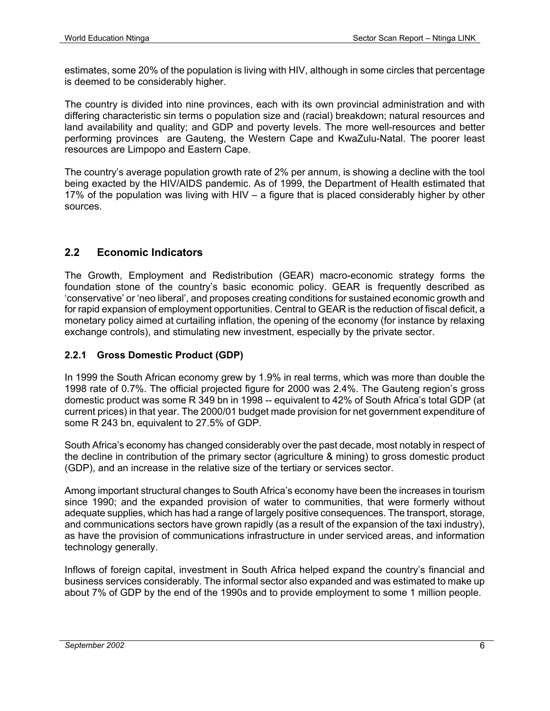estimates, some 20% of the population is living with HIV, although in some circles that percentage is deemed to be considerably higher.

The country is divided into nine provinces, each with its own provincial administration and with differing characteristic sin terms o population size and (racial) breakdown; natural resources and land availability and quality; and GDP and poverty levels. The more well-resources and better performing provinces are Gauteng, the Western Cape and KwaZulu-Natal. The poorer least resources are Limpopo and Eastern Cape.

The country's average population growth rate of 2% per annum, is showing a decline with the tool being exacted by the HIV/AIDS pandemic. As of 1999, the Department of Health estimated that 17% of the population was living with HIV – a figure that is placed considerably higher by other sources.

#### **2.2 Economic Indicators**

The Growth, Employment and Redistribution (GEAR) macro-economic strategy forms the foundation stone of the country's basic economic policy. GEAR is frequently described as 'conservative' or 'neo liberal', and proposes creating conditions for sustained economic growth and for rapid expansion of employment opportunities. Central to GEAR is the reduction of fiscal deficit, a monetary policy aimed at curtailing inflation, the opening of the economy (for instance by relaxing exchange controls), and stimulating new investment, especially by the private sector.

#### **2.2.1 Gross Domestic Product (GDP)**

In 1999 the South African economy grew by 1.9% in real terms, which was more than double the 1998 rate of 0.7%. The official projected figure for 2000 was 2.4%. The Gauteng region's gross domestic product was some R 349 bn in 1998 -- equivalent to 42% of South Africa's total GDP (at current prices) in that year. The 2000/01 budget made provision for net government expenditure of some R 243 bn, equivalent to 27.5% of GDP.

South Africa's economy has changed considerably over the past decade, most notably in respect of the decline in contribution of the primary sector (agriculture & mining) to gross domestic product (GDP), and an increase in the relative size of the tertiary or services sector.

Among important structural changes to South Africa's economy have been the increases in tourism since 1990; and the expanded provision of water to communities, that were formerly without adequate supplies, which has had a range of largely positive consequences. The transport, storage, and communications sectors have grown rapidly (as a result of the expansion of the taxi industry), as have the provision of communications infrastructure in under serviced areas, and information technology generally.

Inflows of foreign capital, investment in South Africa helped expand the country's financial and business services considerably. The informal sector also expanded and was estimated to make up about 7% of GDP by the end of the 1990s and to provide employment to some 1 million people.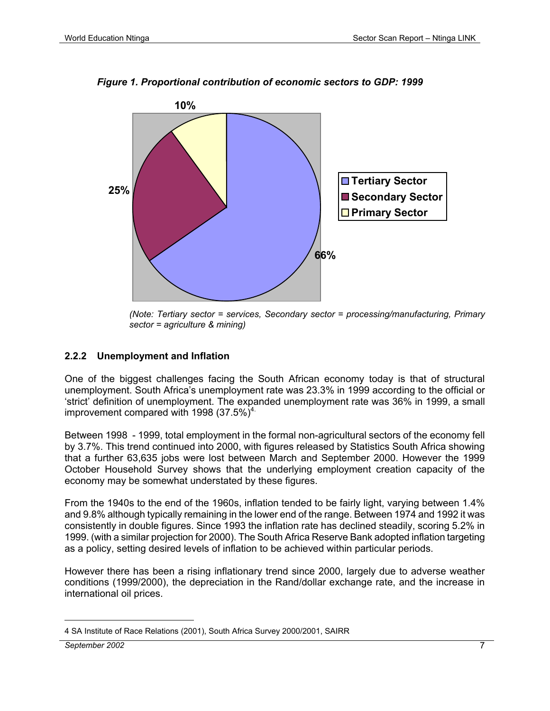

*Figure 1. Proportional contribution of economic sectors to GDP: 1999* 

*(Note: Tertiary sector = services, Secondary sector = processing/manufacturing, Primary sector = agriculture & mining)* 

#### **2.2.2 Unemployment and Inflation**

One of the biggest challenges facing the South African economy today is that of structural unemployment. South Africa's unemployment rate was 23.3% in 1999 according to the official or 'strict' definition of unemployment. The expanded unemployment rate was 36% in 1999, a small improvement compared with 1998  $(37.5\%)<sup>4</sup>$ .

Between 1998 - 1999, total employment in the formal non-agricultural sectors of the economy fell by 3.7%. This trend continued into 2000, with figures released by Statistics South Africa showing that a further 63,635 jobs were lost between March and September 2000. However the 1999 October Household Survey shows that the underlying employment creation capacity of the economy may be somewhat understated by these figures.

From the 1940s to the end of the 1960s, inflation tended to be fairly light, varying between 1.4% and 9.8% although typically remaining in the lower end of the range. Between 1974 and 1992 it was consistently in double figures. Since 1993 the inflation rate has declined steadily, scoring 5.2% in 1999. (with a similar projection for 2000). The South Africa Reserve Bank adopted inflation targeting as a policy, setting desired levels of inflation to be achieved within particular periods.

However there has been a rising inflationary trend since 2000, largely due to adverse weather conditions (1999/2000), the depreciation in the Rand/dollar exchange rate, and the increase in international oil prices.

<sup>1</sup> 4 SA Institute of Race Relations (2001), South Africa Survey 2000/2001, SAIRR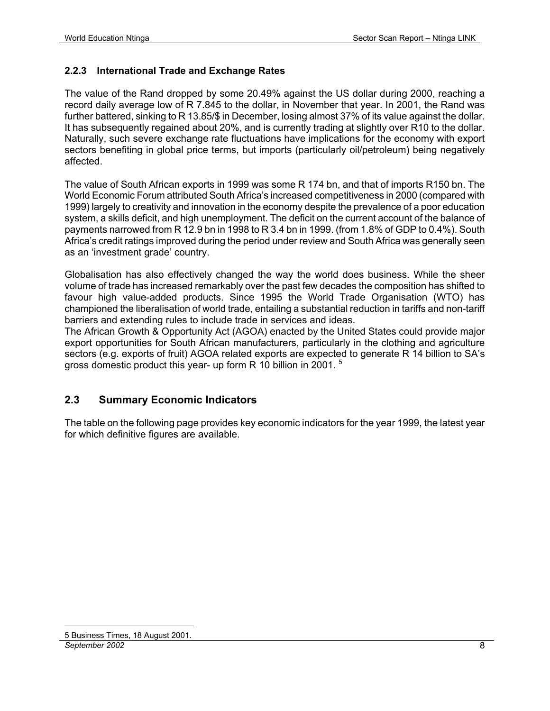#### **2.2.3 International Trade and Exchange Rates**

The value of the Rand dropped by some 20.49% against the US dollar during 2000, reaching a record daily average low of R 7.845 to the dollar, in November that year. In 2001, the Rand was further battered, sinking to R 13.85/\$ in December, losing almost 37% of its value against the dollar. It has subsequently regained about 20%, and is currently trading at slightly over R10 to the dollar. Naturally, such severe exchange rate fluctuations have implications for the economy with export sectors benefiting in global price terms, but imports (particularly oil/petroleum) being negatively affected.

The value of South African exports in 1999 was some R 174 bn, and that of imports R150 bn. The World Economic Forum attributed South Africa's increased competitiveness in 2000 (compared with 1999) largely to creativity and innovation in the economy despite the prevalence of a poor education system, a skills deficit, and high unemployment. The deficit on the current account of the balance of payments narrowed from R 12.9 bn in 1998 to R 3.4 bn in 1999. (from 1.8% of GDP to 0.4%). South Africa's credit ratings improved during the period under review and South Africa was generally seen as an 'investment grade' country.

Globalisation has also effectively changed the way the world does business. While the sheer volume of trade has increased remarkably over the past few decades the composition has shifted to favour high value-added products. Since 1995 the World Trade Organisation (WTO) has championed the liberalisation of world trade, entailing a substantial reduction in tariffs and non-tariff barriers and extending rules to include trade in services and ideas.

The African Growth & Opportunity Act (AGOA) enacted by the United States could provide major export opportunities for South African manufacturers, particularly in the clothing and agriculture sectors (e.g. exports of fruit) AGOA related exports are expected to generate R 14 billion to SA's gross domestic product this year- up form R 10 billion in 2001.<sup>5</sup>

#### **2.3 Summary Economic Indicators**

The table on the following page provides key economic indicators for the year 1999, the latest year for which definitive figures are available.

#### *September 2002* 8

<sup>&</sup>lt;u>.</u> 5 Business Times, 18 August 2001.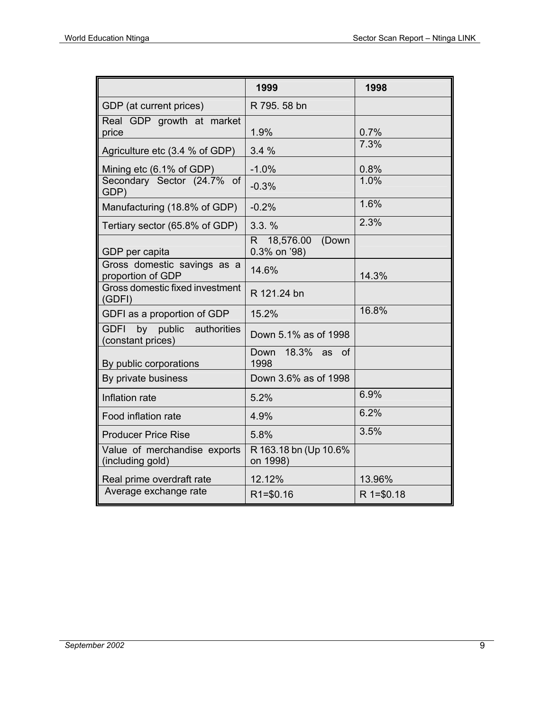|                                                              | 1999                                     | 1998        |
|--------------------------------------------------------------|------------------------------------------|-------------|
| GDP (at current prices)                                      | R 795.58 bn                              |             |
| Real GDP growth at market<br>price                           | 1.9%                                     | 0.7%        |
| Agriculture etc (3.4 % of GDP)                               | 3.4%                                     | 7.3%        |
| Mining etc (6.1% of GDP)                                     | $-1.0%$                                  | 0.8%        |
| Secondary Sector (24.7% of<br>GDP)                           | $-0.3%$                                  | 1.0%        |
| Manufacturing (18.8% of GDP)                                 | $-0.2%$                                  | 1.6%        |
| Tertiary sector (65.8% of GDP)                               | 3.3.%                                    | 2.3%        |
| GDP per capita                                               | 18,576.00<br>(Down<br>R.<br>0.3% on '98) |             |
| Gross domestic savings as a<br>proportion of GDP             | 14.6%                                    | 14.3%       |
| Gross domestic fixed investment<br>(GDFI)                    | R 121.24 bn                              |             |
| GDFI as a proportion of GDP                                  | 15.2%                                    | 16.8%       |
| <b>GDFI</b><br>by public<br>authorities<br>(constant prices) | Down 5.1% as of 1998                     |             |
| By public corporations                                       | 18.3%<br>Down<br>as<br><b>of</b><br>1998 |             |
| By private business                                          | Down 3.6% as of 1998                     |             |
| Inflation rate                                               | 5.2%                                     | 6.9%        |
| Food inflation rate                                          | 4.9%                                     | 6.2%        |
| <b>Producer Price Rise</b>                                   | 5.8%                                     | 3.5%        |
| Value of merchandise exports<br>(including gold)             | R 163.18 bn (Up 10.6%<br>on 1998)        |             |
| Real prime overdraft rate                                    | 12.12%                                   | 13.96%      |
| Average exchange rate                                        | $R1 = $0.16$                             | $R = $0.18$ |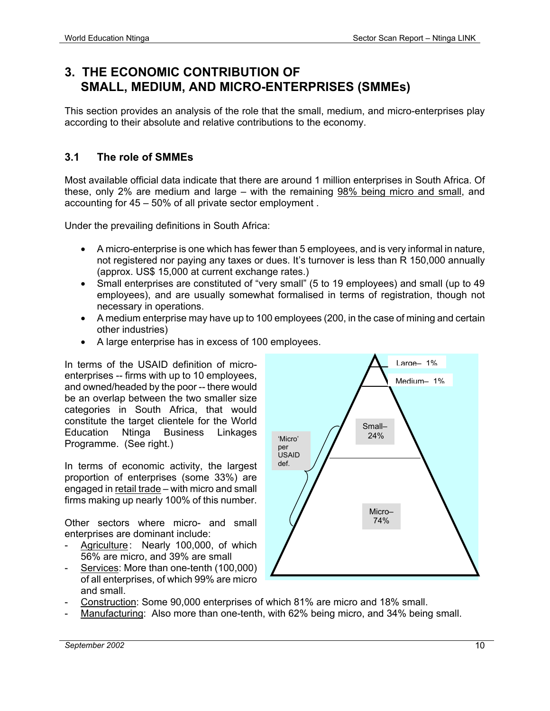# **3. THE ECONOMIC CONTRIBUTION OF SMALL, MEDIUM, AND MICRO-ENTERPRISES (SMMEs)**

This section provides an analysis of the role that the small, medium, and micro-enterprises play according to their absolute and relative contributions to the economy.

#### **3.1 The role of SMMEs**

Most available official data indicate that there are around 1 million enterprises in South Africa. Of these, only 2% are medium and large – with the remaining 98% being micro and small, and accounting for 45 – 50% of all private sector employment .

Under the prevailing definitions in South Africa:

- A micro-enterprise is one which has fewer than 5 employees, and is very informal in nature, not registered nor paying any taxes or dues. It's turnover is less than R 150,000 annually (approx. US\$ 15,000 at current exchange rates.)
- Small enterprises are constituted of "very small" (5 to 19 employees) and small (up to 49 employees), and are usually somewhat formalised in terms of registration, though not necessary in operations.
- A medium enterprise may have up to 100 employees (200, in the case of mining and certain other industries)
- A large enterprise has in excess of 100 employees.

In terms of the USAID definition of microenterprises -- firms with up to 10 employees, and owned/headed by the poor -- there would be an overlap between the two smaller size categories in South Africa, that would constitute the target clientele for the World Education Ntinga Business Linkages Programme. (See right.)

In terms of economic activity, the largest proportion of enterprises (some 33%) are engaged in retail trade – with micro and small firms making up nearly 100% of this number.

Other sectors where micro- and small enterprises are dominant include:

- Agriculture: Nearly 100,000, of which 56% are micro, and 39% are small
- Services: More than one-tenth (100,000) of all enterprises, of which 99% are micro and small.



- Construction: Some 90,000 enterprises of which 81% are micro and 18% small.
- Manufacturing: Also more than one-tenth, with 62% being micro, and 34% being small.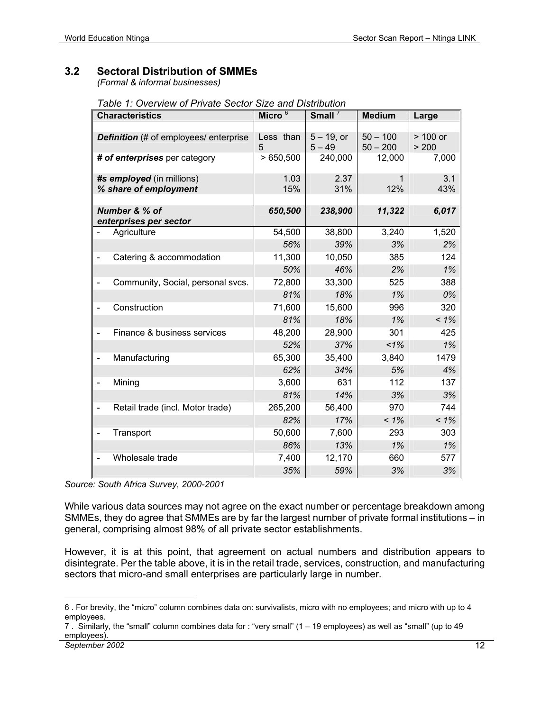#### **3.2 Sectoral Distribution of SMMEs**

 *(Formal & informal businesses)* 

 *Table 1: Overview of Private Sector Size and Distribution* 

|                          | <b>Characteristics</b>                        | Micro <sup>6</sup> | Small $^7$    | <b>Medium</b> | Large      |
|--------------------------|-----------------------------------------------|--------------------|---------------|---------------|------------|
|                          |                                               |                    |               |               |            |
|                          | <b>Definition</b> (# of employees/ enterprise | Less than          | $5 - 19$ , or | $50 - 100$    | $> 100$ or |
|                          |                                               | 5                  | $5 - 49$      | $50 - 200$    | > 200      |
|                          | # of enterprises per category                 | >650,500           | 240,000       | 12,000        | 7,000      |
|                          | #s employed (in millions)                     | 1.03               | 2.37          | 1             | 3.1        |
|                          | % share of employment                         | 15%                | 31%           | 12%           | 43%        |
|                          |                                               |                    |               |               |            |
| Number & % of            |                                               | 650,500            | 238,900       | 11,322        | 6,017      |
|                          | enterprises per sector<br>Agriculture         | 54,500             | 38,800        | 3,240         | 1,520      |
|                          |                                               | 56%                | 39%           | 3%            | 2%         |
|                          |                                               |                    |               |               |            |
|                          | Catering & accommodation                      | 11,300             | 10,050        | 385           | 124        |
|                          |                                               | 50%                | 46%           | 2%            | 1%         |
|                          | Community, Social, personal svcs.             | 72,800             | 33,300        | 525           | 388        |
|                          |                                               | 81%                | 18%           | 1%            | 0%         |
| $\overline{\phantom{0}}$ | Construction                                  | 71,600             | 15,600        | 996           | 320        |
|                          |                                               | 81%                | 18%           | 1%            | $< 1\%$    |
| $\blacksquare$           | Finance & business services                   | 48,200             | 28,900        | 301           | 425        |
|                          |                                               | 52%                | 37%           | $1\%$         | 1%         |
| $\overline{\phantom{0}}$ | Manufacturing                                 | 65,300             | 35,400        | 3,840         | 1479       |
|                          |                                               | 62%                | 34%           | 5%            | 4%         |
|                          | Mining                                        | 3,600              | 631           | 112           | 137        |
|                          |                                               | 81%                | 14%           | 3%            | 3%         |
|                          | Retail trade (incl. Motor trade)              | 265,200            | 56,400        | 970           | 744        |
|                          |                                               | 82%                | 17%           | $< 1\%$       | $< 1\%$    |
|                          | Transport                                     | 50,600             | 7,600         | 293           | 303        |
|                          |                                               | 86%                | 13%           | 1%            | 1%         |
|                          | Wholesale trade                               | 7,400              | 12,170        | 660           | 577        |
|                          |                                               | 35%                | 59%           | 3%            | 3%         |

*Source: South Africa Survey, 2000-2001* 

While various data sources may not agree on the exact number or percentage breakdown among SMMEs, they do agree that SMMEs are by far the largest number of private formal institutions – in general, comprising almost 98% of all private sector establishments.

However, it is at this point, that agreement on actual numbers and distribution appears to disintegrate. Per the table above, it is in the retail trade, services, construction, and manufacturing sectors that micro-and small enterprises are particularly large in number.

<u>.</u>

<sup>6 .</sup> For brevity, the "micro" column combines data on: survivalists, micro with no employees; and micro with up to 4 employees.

<sup>7 .</sup> Similarly, the "small" column combines data for : "very small" (1 – 19 employees) as well as "small" (up to 49 employees).

*September 2002* 12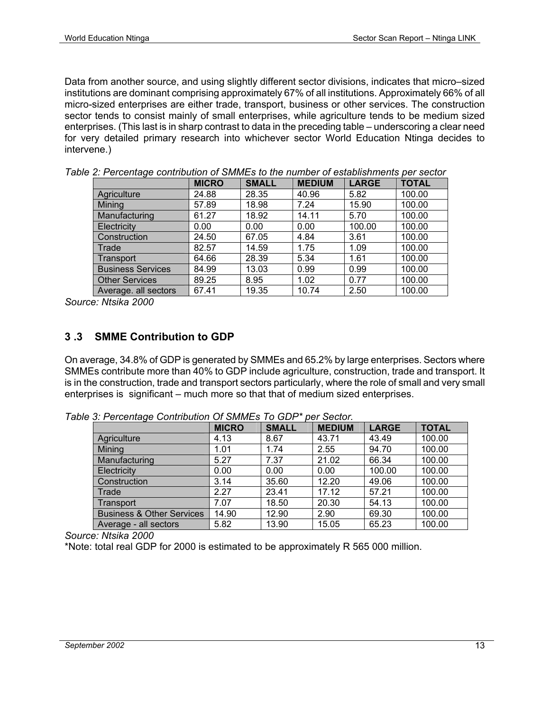Data from another source, and using slightly different sector divisions, indicates that micro–sized institutions are dominant comprising approximately 67% of all institutions. Approximately 66% of all micro-sized enterprises are either trade, transport, business or other services. The construction sector tends to consist mainly of small enterprises, while agriculture tends to be medium sized enterprises. (This last is in sharp contrast to data in the preceding table – underscoring a clear need for very detailed primary research into whichever sector World Education Ntinga decides to intervene.)

|                          | <b>MICRO</b> | <b>SMALL</b> | <b>MEDIUM</b> | <b>LARGE</b> | <b>TOTAL</b> |  |
|--------------------------|--------------|--------------|---------------|--------------|--------------|--|
| Agriculture              | 24.88        | 28.35        | 40.96         | 5.82         | 100.00       |  |
| Mining                   | 57.89        | 18.98        | 7.24          | 15.90        | 100.00       |  |
| Manufacturing            | 61.27        | 18.92        | 14.11         | 5.70         | 100.00       |  |
| Electricity              | 0.00         | 0.00         | 0.00          | 100.00       | 100.00       |  |
| Construction             | 24.50        | 67.05        | 4.84          | 3.61         | 100.00       |  |
| Trade                    | 82.57        | 14.59        | 1.75          | 1.09         | 100.00       |  |
| Transport                | 64.66        | 28.39        | 5.34          | 1.61         | 100.00       |  |
| <b>Business Services</b> | 84.99        | 13.03        | 0.99          | 0.99         | 100.00       |  |
| <b>Other Services</b>    | 89.25        | 8.95         | 1.02          | 0.77         | 100.00       |  |
| Average. all sectors     | 67.41        | 19.35        | 10.74         | 2.50         | 100.00       |  |

|  |  |  |  |  |  | Table 2: Percentage contribution of SMMEs to the number of establishments per sector |
|--|--|--|--|--|--|--------------------------------------------------------------------------------------|
|--|--|--|--|--|--|--------------------------------------------------------------------------------------|

*Source: Ntsika 2000* 

#### **3 .3 SMME Contribution to GDP**

On average, 34.8% of GDP is generated by SMMEs and 65.2% by large enterprises. Sectors where SMMEs contribute more than 40% to GDP include agriculture, construction, trade and transport. It is in the construction, trade and transport sectors particularly, where the role of small and very small enterprises is significant – much more so that that of medium sized enterprises.

|                                      | <b>MICRO</b> | <b>SMALL</b> | <b>MEDIUM</b> | <b>LARGE</b> | <b>TOTAL</b> |
|--------------------------------------|--------------|--------------|---------------|--------------|--------------|
| Agriculture                          | 4.13         | 8.67         | 43.71         | 43.49        | 100.00       |
| Mining                               | 1.01         | 1.74         | 2.55          | 94.70        | 100.00       |
| Manufacturing                        | 5.27         | 7.37         | 21.02         | 66.34        | 100.00       |
| Electricity                          | 0.00         | 0.00         | 0.00          | 100.00       | 100.00       |
| Construction                         | 3.14         | 35.60        | 12.20         | 49.06        | 100.00       |
| Trade                                | 2.27         | 23.41        | 17.12         | 57.21        | 100.00       |
| Transport                            | 7.07         | 18.50        | 20.30         | 54.13        | 100.00       |
| <b>Business &amp; Other Services</b> | 14.90        | 12.90        | 2.90          | 69.30        | 100.00       |
| Average - all sectors                | 5.82         | 13.90        | 15.05         | 65.23        | 100.00       |

*Table 3: Percentage Contribution Of SMMEs To GDP\* per Sector.* 

*Source: Ntsika 2000* 

\*Note: total real GDP for 2000 is estimated to be approximately R 565 000 million.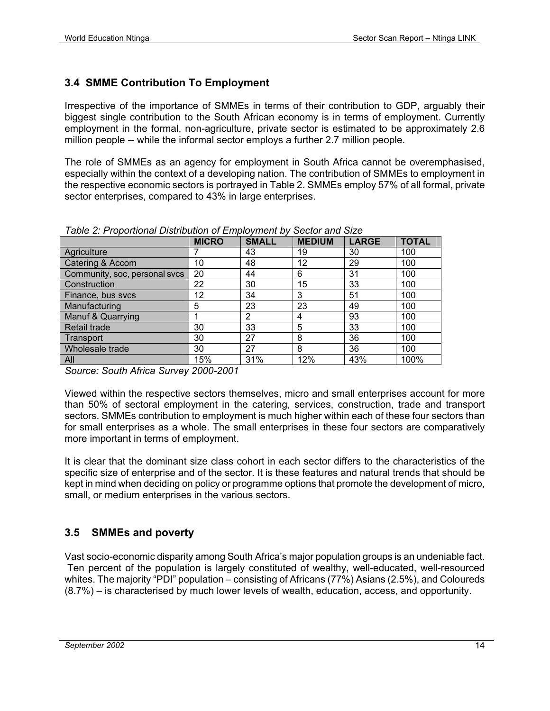#### **3.4 SMME Contribution To Employment**

Irrespective of the importance of SMMEs in terms of their contribution to GDP, arguably their biggest single contribution to the South African economy is in terms of employment. Currently employment in the formal, non-agriculture, private sector is estimated to be approximately 2.6 million people -- while the informal sector employs a further 2.7 million people.

The role of SMMEs as an agency for employment in South Africa cannot be overemphasised, especially within the context of a developing nation. The contribution of SMMEs to employment in the respective economic sectors is portrayed in Table 2. SMMEs employ 57% of all formal, private sector enterprises, compared to 43% in large enterprises.

|                               | <b>MICRO</b> | <b>SMALL</b> | <b>MEDIUM</b> | <b>LARGE</b> | <b>TOTAL</b> |
|-------------------------------|--------------|--------------|---------------|--------------|--------------|
| Agriculture                   |              | 43           | 19            | 30           | 100          |
| Catering & Accom              | 10           | 48           | 12            | 29           | 100          |
| Community, soc, personal svcs | 20           | 44           | 6             | 31           | 100          |
| <b>Construction</b>           | 22           | 30           | 15            | 33           | 100          |
| Finance, bus svcs             | 12           | 34           | 3             | 51           | 100          |
| Manufacturing                 | 5            | 23           | 23            | 49           | 100          |
| <b>Manuf &amp; Quarrying</b>  |              | 2            | 4             | 93           | 100          |
| <b>Retail trade</b>           | 30           | 33           | 5             | 33           | 100          |
| Transport                     | 30           | 27           | 8             | 36           | 100          |
| Wholesale trade               | 30           | 27           | 8             | 36           | 100          |
| <b>All</b>                    | 15%          | 31%          | 12%           | 43%          | 100%         |

*Table 2: Proportional Distribution of Employment by Sector and Size* 

*Source: South Africa Survey 2000-2001* 

Viewed within the respective sectors themselves, micro and small enterprises account for more than 50% of sectoral employment in the catering, services, construction, trade and transport sectors. SMMEs contribution to employment is much higher within each of these four sectors than for small enterprises as a whole. The small enterprises in these four sectors are comparatively more important in terms of employment.

It is clear that the dominant size class cohort in each sector differs to the characteristics of the specific size of enterprise and of the sector. It is these features and natural trends that should be kept in mind when deciding on policy or programme options that promote the development of micro, small, or medium enterprises in the various sectors.

#### **3.5 SMMEs and poverty**

Vast socio-economic disparity among South Africa's major population groups is an undeniable fact. Ten percent of the population is largely constituted of wealthy, well-educated, well-resourced whites. The majority "PDI" population – consisting of Africans (77%) Asians (2.5%), and Coloureds (8.7%) – is characterised by much lower levels of wealth, education, access, and opportunity.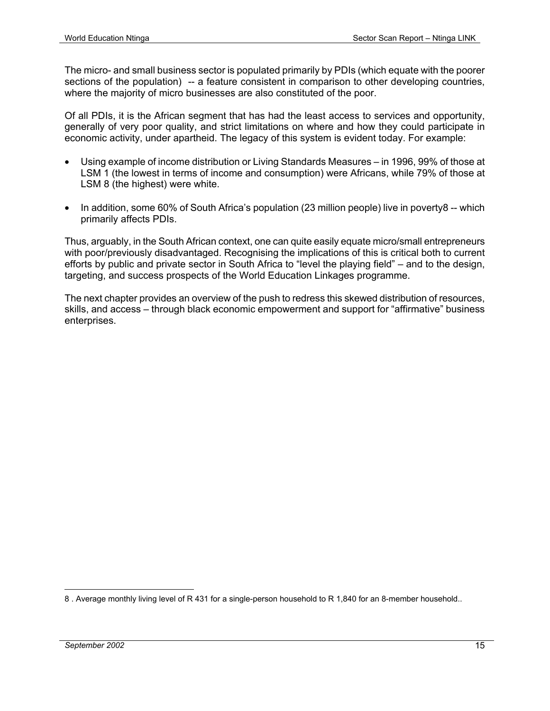The micro- and small business sector is populated primarily by PDIs (which equate with the poorer sections of the population) -- a feature consistent in comparison to other developing countries, where the majority of micro businesses are also constituted of the poor.

Of all PDIs, it is the African segment that has had the least access to services and opportunity, generally of very poor quality, and strict limitations on where and how they could participate in economic activity, under apartheid. The legacy of this system is evident today. For example:

- Using example of income distribution or Living Standards Measures in 1996, 99% of those at LSM 1 (the lowest in terms of income and consumption) were Africans, while 79% of those at LSM 8 (the highest) were white.
- In addition, some 60% of South Africa's population (23 million people) live in poverty8 -- which primarily affects PDIs.

Thus, arguably, in the South African context, one can quite easily equate micro/small entrepreneurs with poor/previously disadvantaged. Recognising the implications of this is critical both to current efforts by public and private sector in South Africa to "level the playing field" – and to the design, targeting, and success prospects of the World Education Linkages programme.

The next chapter provides an overview of the push to redress this skewed distribution of resources, skills, and access – through black economic empowerment and support for "affirmative" business enterprises.

<sup>1</sup> 8 . Average monthly living level of R 431 for a single-person household to R 1,840 for an 8-member household..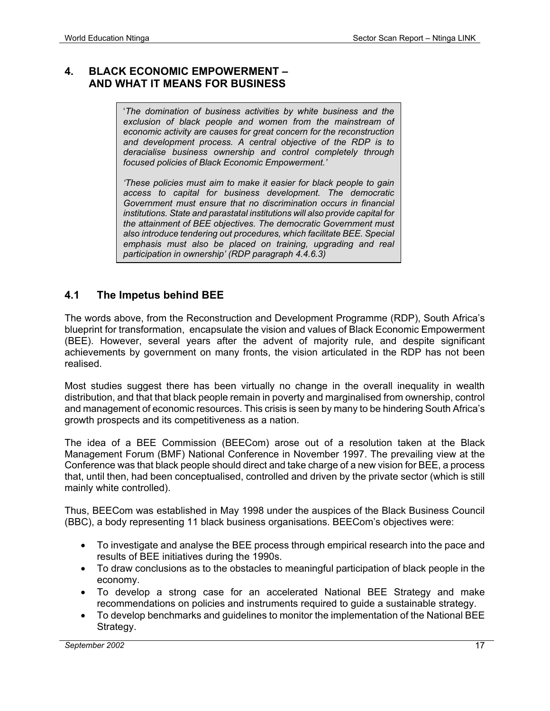#### **4. BLACK ECONOMIC EMPOWERMENT – AND WHAT IT MEANS FOR BUSINESS**

'*The domination of business activities by white business and the exclusion of black people and women from the mainstream of economic activity are causes for great concern for the reconstruction and development process. A central objective of the RDP is to deracialise business ownership and control completely through focused policies of Black Economic Empowerment.'* 

*'These policies must aim to make it easier for black people to gain access to capital for business development. The democratic Government must ensure that no discrimination occurs in financial institutions. State and parastatal institutions will also provide capital for the attainment of BEE objectives. The democratic Government must also introduce tendering out procedures, which facilitate BEE. Special emphasis must also be placed on training, upgrading and real participation in ownership' (RDP paragraph 4.4.6.3)*

#### **4.1 The Impetus behind BEE**

The words above, from the Reconstruction and Development Programme (RDP), South Africa's blueprint for transformation, encapsulate the vision and values of Black Economic Empowerment (BEE). However, several years after the advent of majority rule, and despite significant achievements by government on many fronts, the vision articulated in the RDP has not been realised.

Most studies suggest there has been virtually no change in the overall inequality in wealth distribution, and that that black people remain in poverty and marginalised from ownership, control and management of economic resources. This crisis is seen by many to be hindering South Africa's growth prospects and its competitiveness as a nation.

The idea of a BEE Commission (BEECom) arose out of a resolution taken at the Black Management Forum (BMF) National Conference in November 1997. The prevailing view at the Conference was that black people should direct and take charge of a new vision for BEE, a process that, until then, had been conceptualised, controlled and driven by the private sector (which is still mainly white controlled).

Thus, BEECom was established in May 1998 under the auspices of the Black Business Council (BBC), a body representing 11 black business organisations. BEECom's objectives were:

- To investigate and analyse the BEE process through empirical research into the pace and results of BEE initiatives during the 1990s.
- To draw conclusions as to the obstacles to meaningful participation of black people in the economy.
- To develop a strong case for an accelerated National BEE Strategy and make recommendations on policies and instruments required to guide a sustainable strategy.
- To develop benchmarks and guidelines to monitor the implementation of the National BEE Strategy.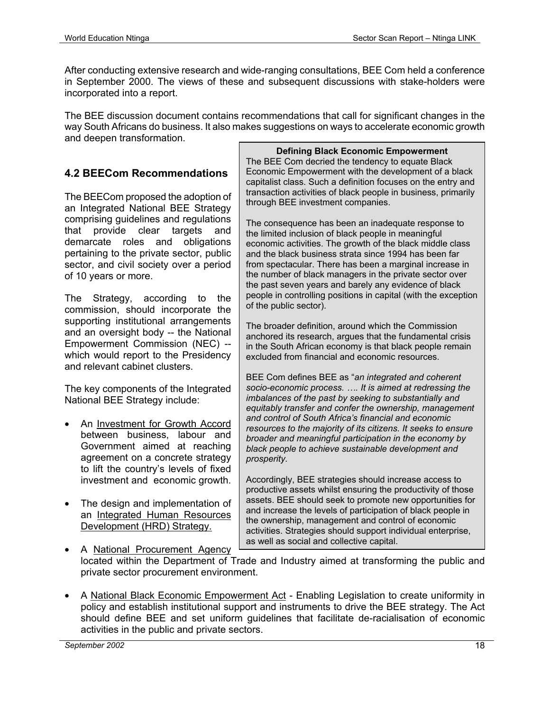After conducting extensive research and wide-ranging consultations, BEE Com held a conference in September 2000. The views of these and subsequent discussions with stake-holders were incorporated into a report.

The BEE discussion document contains recommendations that call for significant changes in the way South Africans do business. It also makes suggestions on ways to accelerate economic growth and deepen transformation.

#### **4.2 BEECom Recommendations**

The BEECom proposed the adoption of an Integrated National BEE Strategy comprising guidelines and regulations that provide clear targets and demarcate roles and obligations pertaining to the private sector, public sector, and civil society over a period of 10 years or more.

The Strategy, according to the commission, should incorporate the supporting institutional arrangements and an oversight body -- the National Empowerment Commission (NEC) - which would report to the Presidency and relevant cabinet clusters.

The key components of the Integrated National BEE Strategy include:

- An Investment for Growth Accord between business, labour and Government aimed at reaching agreement on a concrete strategy to lift the country's levels of fixed investment and economic growth.
- The design and implementation of an Integrated Human Resources Development (HRD) Strategy.

#### **Defining Black Economic Empowerment**

The BEE Com decried the tendency to equate Black Economic Empowerment with the development of a black capitalist class. Such a definition focuses on the entry and transaction activities of black people in business, primarily through BEE investment companies.

The consequence has been an inadequate response to the limited inclusion of black people in meaningful economic activities. The growth of the black middle class and the black business strata since 1994 has been far from spectacular. There has been a marginal increase in the number of black managers in the private sector over the past seven years and barely any evidence of black people in controlling positions in capital (with the exception of the public sector).

The broader definition, around which the Commission anchored its research, argues that the fundamental crisis in the South African economy is that black people remain excluded from financial and economic resources.

BEE Com defines BEE as "*an integrated and coherent socio-economic process. …. It is aimed at redressing the imbalances of the past by seeking to substantially and equitably transfer and confer the ownership, management and control of South Africa's financial and economic resources to the majority of its citizens. It seeks to ensure broader and meaningful participation in the economy by black people to achieve sustainable development and prosperity.* 

Accordingly, BEE strategies should increase access to productive assets whilst ensuring the productivity of those assets. BEE should seek to promote new opportunities for and increase the levels of participation of black people in the ownership, management and control of economic activities. Strategies should support individual enterprise, as well as social and collective capital.

- A National Procurement Agency located within the Department of Trade and Industry aimed at transforming the public and private sector procurement environment.
- A National Black Economic Empowerment Act Enabling Legislation to create uniformity in policy and establish institutional support and instruments to drive the BEE strategy. The Act should define BEE and set uniform guidelines that facilitate de-racialisation of economic activities in the public and private sectors.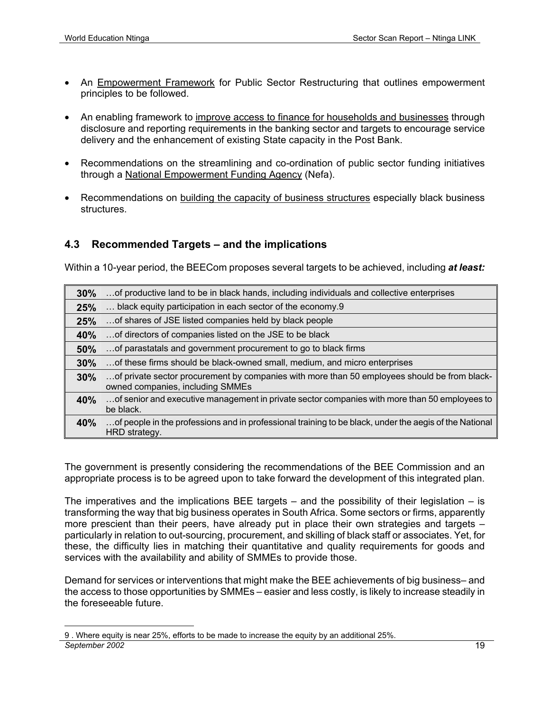- An Empowerment Framework for Public Sector Restructuring that outlines empowerment principles to be followed.
- An enabling framework to improve access to finance for households and businesses through disclosure and reporting requirements in the banking sector and targets to encourage service delivery and the enhancement of existing State capacity in the Post Bank.
- Recommendations on the streamlining and co-ordination of public sector funding initiatives through a National Empowerment Funding Agency (Nefa).
- Recommendations on building the capacity of business structures especially black business structures.

#### **4.3 Recommended Targets – and the implications**

Within a 10-year period, the BEECom proposes several targets to be achieved, including *at least:* 

| 30%        | of productive land to be in black hands, including individuals and collective enterprises                                        |
|------------|----------------------------------------------------------------------------------------------------------------------------------|
| 25%        | black equity participation in each sector of the economy.9                                                                       |
| 25%        | of shares of JSE listed companies held by black people                                                                           |
| <b>40%</b> | of directors of companies listed on the JSE to be black                                                                          |
| 50%        | of parastatals and government procurement to go to black firms                                                                   |
| 30%        | of these firms should be black-owned small, medium, and micro enterprises                                                        |
| 30%        | of private sector procurement by companies with more than 50 employees should be from black-<br>owned companies, including SMMEs |
| 40%        | of senior and executive management in private sector companies with more than 50 employees to<br>be black.                       |
| <b>40%</b> | of people in the professions and in professional training to be black, under the aegis of the National<br>HRD strategy.          |

The government is presently considering the recommendations of the BEE Commission and an appropriate process is to be agreed upon to take forward the development of this integrated plan.

The imperatives and the implications BEE targets  $-$  and the possibility of their legislation  $-$  is transforming the way that big business operates in South Africa. Some sectors or firms, apparently more prescient than their peers, have already put in place their own strategies and targets – particularly in relation to out-sourcing, procurement, and skilling of black staff or associates. Yet, for these, the difficulty lies in matching their quantitative and quality requirements for goods and services with the availability and ability of SMMEs to provide those.

Demand for services or interventions that might make the BEE achievements of big business– and the access to those opportunities by SMMEs – easier and less costly, is likely to increase steadily in the foreseeable future.

*September 2002* 19 <u>.</u> 9 . Where equity is near 25%, efforts to be made to increase the equity by an additional 25%.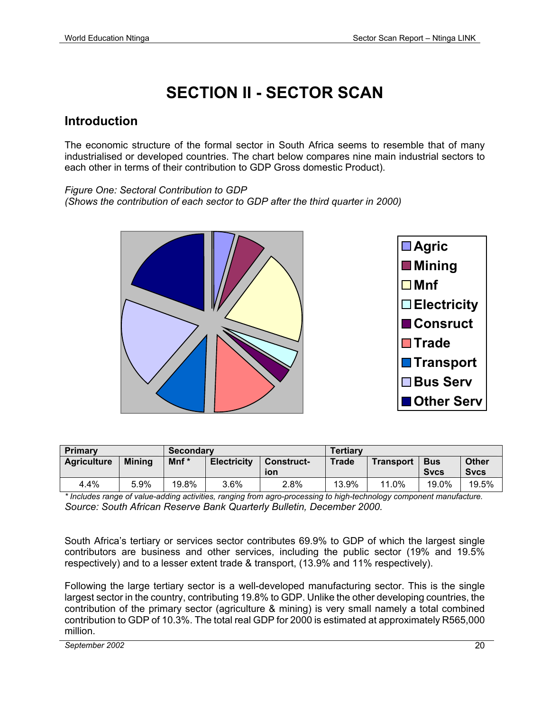# **SECTION II - SECTOR SCAN**

#### **Introduction**

The economic structure of the formal sector in South Africa seems to resemble that of many industrialised or developed countries. The chart below compares nine main industrial sectors to each other in terms of their contribution to GDP Gross domestic Product).

*Figure One: Sectoral Contribution to GDP* 

*(Shows the contribution of each sector to GDP after the third quarter in 2000)* 



| <b>Primary</b>     |               | Secondary        |                    |                          | <b>Tertiary</b> |                  |                           |                             |
|--------------------|---------------|------------------|--------------------|--------------------------|-----------------|------------------|---------------------------|-----------------------------|
| <b>Agriculture</b> | <b>Mining</b> | Mnf <sup>*</sup> | <b>Electricity</b> | <b>Construct-</b><br>ion | <b>Trade</b>    | <b>Transport</b> | <b>Bus</b><br><b>Sycs</b> | <b>Other</b><br><b>Sycs</b> |
| 4.4%               | 5.9%          | 19.8%            | $3.6\%$            | 2.8%                     | 13.9%           | 11.0%            | 19.0%                     | 19.5%                       |

*\* Includes range of value-adding activities, ranging from agro-processing to high-technology component manufacture. Source: South African Reserve Bank Quarterly Bulletin, December 2000.* 

South Africa's tertiary or services sector contributes 69.9% to GDP of which the largest single contributors are business and other services, including the public sector (19% and 19.5% respectively) and to a lesser extent trade & transport, (13.9% and 11% respectively).

Following the large tertiary sector is a well-developed manufacturing sector. This is the single largest sector in the country, contributing 19.8% to GDP. Unlike the other developing countries, the contribution of the primary sector (agriculture & mining) is very small namely a total combined contribution to GDP of 10.3%. The total real GDP for 2000 is estimated at approximately R565,000 million.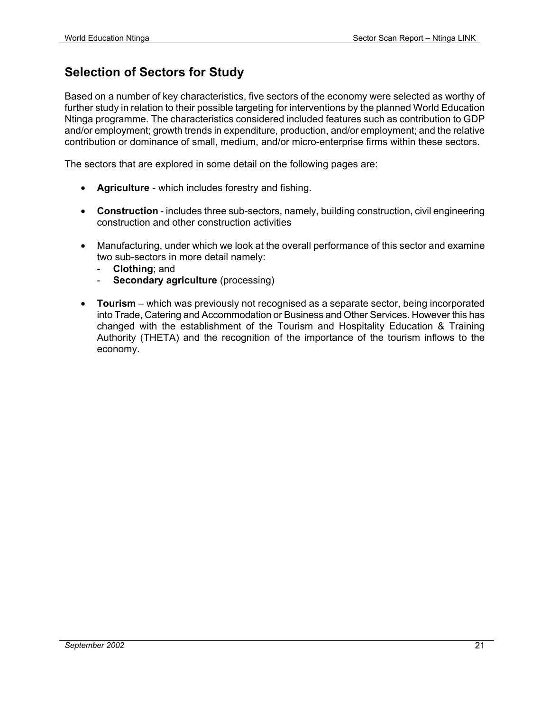# **Selection of Sectors for Study**

Based on a number of key characteristics, five sectors of the economy were selected as worthy of further study in relation to their possible targeting for interventions by the planned World Education Ntinga programme. The characteristics considered included features such as contribution to GDP and/or employment; growth trends in expenditure, production, and/or employment; and the relative contribution or dominance of small, medium, and/or micro-enterprise firms within these sectors.

The sectors that are explored in some detail on the following pages are:

- **Agriculture** which includes forestry and fishing.
- **Construction** includes three sub-sectors, namely, building construction, civil engineering construction and other construction activities
- Manufacturing, under which we look at the overall performance of this sector and examine two sub-sectors in more detail namely:
	- **Clothing**; and
	- **Secondary agriculture** (processing)
- **Tourism**  which was previously not recognised as a separate sector, being incorporated into Trade, Catering and Accommodation or Business and Other Services. However this has changed with the establishment of the Tourism and Hospitality Education & Training Authority (THETA) and the recognition of the importance of the tourism inflows to the economy.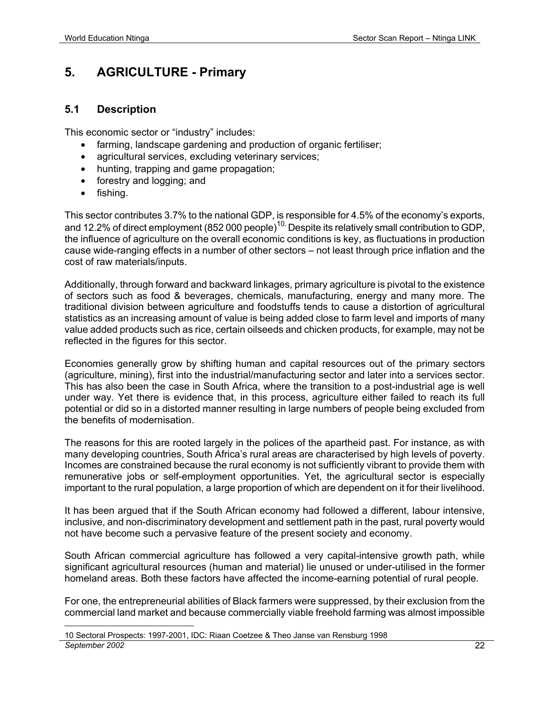## **5. AGRICULTURE - Primary**

#### **5.1 Description**

This economic sector or "industry" includes:

- farming, landscape gardening and production of organic fertiliser;
- agricultural services, excluding veterinary services;
- hunting, trapping and game propagation;
- forestry and logging; and
- fishing.

This sector contributes 3.7% to the national GDP, is responsible for 4.5% of the economy's exports, and 12.2% of direct employment (852 000 people)<sup>10</sup>. Despite its relatively small contribution to GDP, the influence of agriculture on the overall economic conditions is key, as fluctuations in production cause wide-ranging effects in a number of other sectors – not least through price inflation and the cost of raw materials/inputs.

Additionally, through forward and backward linkages, primary agriculture is pivotal to the existence of sectors such as food & beverages, chemicals, manufacturing, energy and many more. The traditional division between agriculture and foodstuffs tends to cause a distortion of agricultural statistics as an increasing amount of value is being added close to farm level and imports of many value added products such as rice, certain oilseeds and chicken products, for example, may not be reflected in the figures for this sector.

Economies generally grow by shifting human and capital resources out of the primary sectors (agriculture, mining), first into the industrial/manufacturing sector and later into a services sector. This has also been the case in South Africa, where the transition to a post-industrial age is well under way. Yet there is evidence that, in this process, agriculture either failed to reach its full potential or did so in a distorted manner resulting in large numbers of people being excluded from the benefits of modernisation.

The reasons for this are rooted largely in the polices of the apartheid past. For instance, as with many developing countries, South Africa's rural areas are characterised by high levels of poverty. Incomes are constrained because the rural economy is not sufficiently vibrant to provide them with remunerative jobs or self-employment opportunities. Yet, the agricultural sector is especially important to the rural population, a large proportion of which are dependent on it for their livelihood.

It has been argued that if the South African economy had followed a different, labour intensive, inclusive, and non-discriminatory development and settlement path in the past, rural poverty would not have become such a pervasive feature of the present society and economy.

South African commercial agriculture has followed a very capital-intensive growth path, while significant agricultural resources (human and material) lie unused or under-utilised in the former homeland areas. Both these factors have affected the income-earning potential of rural people.

For one, the entrepreneurial abilities of Black farmers were suppressed, by their exclusion from the commercial land market and because commercially viable freehold farming was almost impossible

*September 2002* 22 <u>.</u> 10 Sectoral Prospects: 1997-2001, IDC: Riaan Coetzee & Theo Janse van Rensburg 1998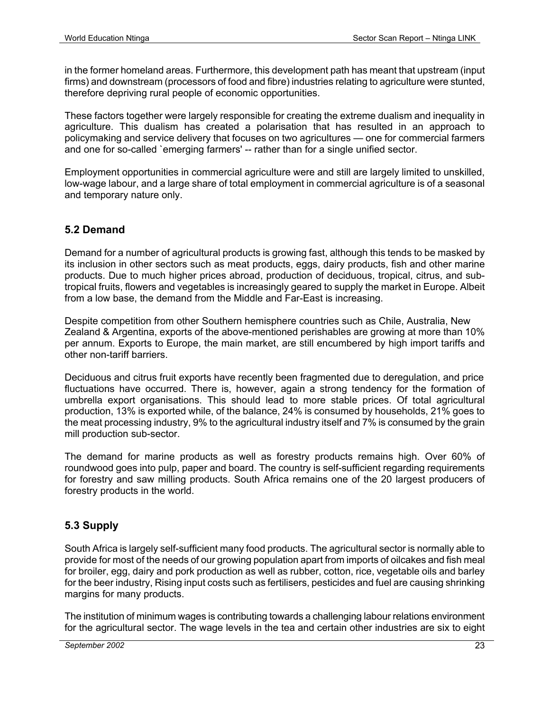in the former homeland areas. Furthermore, this development path has meant that upstream (input firms) and downstream (processors of food and fibre) industries relating to agriculture were stunted, therefore depriving rural people of economic opportunities.

These factors together were largely responsible for creating the extreme dualism and inequality in agriculture. This dualism has created a polarisation that has resulted in an approach to policymaking and service delivery that focuses on two agricultures — one for commercial farmers and one for so-called `emerging farmers' -- rather than for a single unified sector.

Employment opportunities in commercial agriculture were and still are largely limited to unskilled, low-wage labour, and a large share of total employment in commercial agriculture is of a seasonal and temporary nature only.

#### **5.2 Demand**

Demand for a number of agricultural products is growing fast, although this tends to be masked by its inclusion in other sectors such as meat products, eggs, dairy products, fish and other marine products. Due to much higher prices abroad, production of deciduous, tropical, citrus, and subtropical fruits, flowers and vegetables is increasingly geared to supply the market in Europe. Albeit from a low base, the demand from the Middle and Far-East is increasing.

Despite competition from other Southern hemisphere countries such as Chile, Australia, New Zealand & Argentina, exports of the above-mentioned perishables are growing at more than 10% per annum. Exports to Europe, the main market, are still encumbered by high import tariffs and other non-tariff barriers.

Deciduous and citrus fruit exports have recently been fragmented due to deregulation, and price fluctuations have occurred. There is, however, again a strong tendency for the formation of umbrella export organisations. This should lead to more stable prices. Of total agricultural production, 13% is exported while, of the balance, 24% is consumed by households, 21% goes to the meat processing industry, 9% to the agricultural industry itself and 7% is consumed by the grain mill production sub-sector.

The demand for marine products as well as forestry products remains high. Over 60% of roundwood goes into pulp, paper and board. The country is self-sufficient regarding requirements for forestry and saw milling products. South Africa remains one of the 20 largest producers of forestry products in the world.

#### **5.3 Supply**

South Africa is largely self-sufficient many food products. The agricultural sector is normally able to provide for most of the needs of our growing population apart from imports of oilcakes and fish meal for broiler, egg, dairy and pork production as well as rubber, cotton, rice, vegetable oils and barley for the beer industry, Rising input costs such as fertilisers, pesticides and fuel are causing shrinking margins for many products.

The institution of minimum wages is contributing towards a challenging labour relations environment for the agricultural sector. The wage levels in the tea and certain other industries are six to eight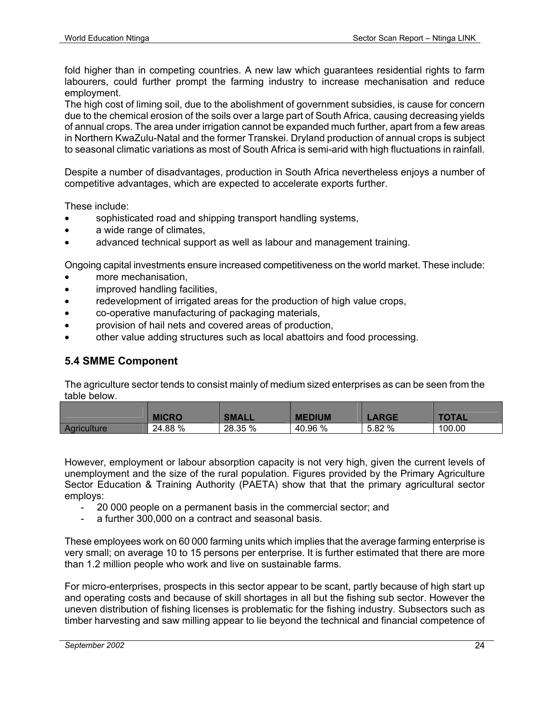fold higher than in competing countries. A new law which guarantees residential rights to farm labourers, could further prompt the farming industry to increase mechanisation and reduce employment.

The high cost of liming soil, due to the abolishment of government subsidies, is cause for concern due to the chemical erosion of the soils over a large part of South Africa, causing decreasing yields of annual crops. The area under irrigation cannot be expanded much further, apart from a few areas in Northern KwaZulu-Natal and the former Transkei. Dryland production of annual crops is subject to seasonal climatic variations as most of South Africa is semi-arid with high fluctuations in rainfall.

Despite a number of disadvantages, production in South Africa nevertheless enjoys a number of competitive advantages, which are expected to accelerate exports further.

These include:

- sophisticated road and shipping transport handling systems,
- a wide range of climates,
- advanced technical support as well as labour and management training.

Ongoing capital investments ensure increased competitiveness on the world market. These include:

- more mechanisation,
- improved handling facilities,
- redevelopment of irrigated areas for the production of high value crops,
- co-operative manufacturing of packaging materials,
- provision of hail nets and covered areas of production,
- other value adding structures such as local abattoirs and food processing.

#### **5.4 SMME Component**

The agriculture sector tends to consist mainly of medium sized enterprises as can be seen from the table below.

|                    | <b>MICRO</b> | <b>SMALL</b> | <b>MEDIUM</b> | <b>_ARGE</b> | <b>TOTAL</b> |
|--------------------|--------------|--------------|---------------|--------------|--------------|
| <b>Agriculture</b> | 24.88 %      | 28.35 %      | 40.96 %       | 5.82 %       | 100.00       |

However, employment or labour absorption capacity is not very high, given the current levels of unemployment and the size of the rural population. Figures provided by the Primary Agriculture Sector Education & Training Authority (PAETA) show that that the primary agricultural sector employs:

- 20 000 people on a permanent basis in the commercial sector; and
- a further 300,000 on a contract and seasonal basis.

These employees work on 60 000 farming units which implies that the average farming enterprise is very small; on average 10 to 15 persons per enterprise. It is further estimated that there are more than 1.2 million people who work and live on sustainable farms.

For micro-enterprises, prospects in this sector appear to be scant, partly because of high start up and operating costs and because of skill shortages in all but the fishing sub sector. However the uneven distribution of fishing licenses is problematic for the fishing industry. Subsectors such as timber harvesting and saw milling appear to lie beyond the technical and financial competence of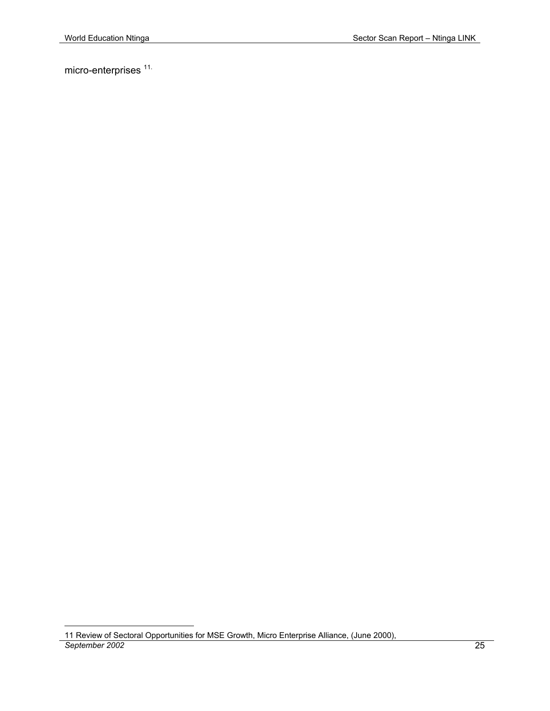micro-enterprises<sup>11.</sup>

<u>.</u>

*September 2002* 25 11 Review of Sectoral Opportunities for MSE Growth, Micro Enterprise Alliance, (June 2000),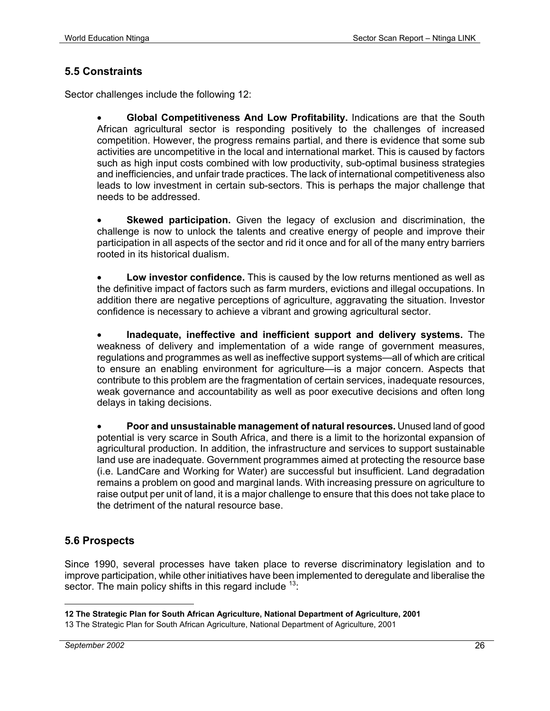#### **5.5 Constraints**

Sector challenges include the following 12:

• **Global Competitiveness And Low Profitability.** Indications are that the South African agricultural sector is responding positively to the challenges of increased competition. However, the progress remains partial, and there is evidence that some sub activities are uncompetitive in the local and international market. This is caused by factors such as high input costs combined with low productivity, sub-optimal business strategies and inefficiencies, and unfair trade practices. The lack of international competitiveness also leads to low investment in certain sub-sectors. This is perhaps the major challenge that needs to be addressed.

**Skewed participation.** Given the legacy of exclusion and discrimination, the challenge is now to unlock the talents and creative energy of people and improve their participation in all aspects of the sector and rid it once and for all of the many entry barriers rooted in its historical dualism.

• **Low investor confidence.** This is caused by the low returns mentioned as well as the definitive impact of factors such as farm murders, evictions and illegal occupations. In addition there are negative perceptions of agriculture, aggravating the situation. Investor confidence is necessary to achieve a vibrant and growing agricultural sector.

• **Inadequate, ineffective and inefficient support and delivery systems.** The weakness of delivery and implementation of a wide range of government measures, regulations and programmes as well as ineffective support systems—all of which are critical to ensure an enabling environment for agriculture—is a major concern. Aspects that contribute to this problem are the fragmentation of certain services, inadequate resources, weak governance and accountability as well as poor executive decisions and often long delays in taking decisions.

• **Poor and unsustainable management of natural resources.** Unused land of good potential is very scarce in South Africa, and there is a limit to the horizontal expansion of agricultural production. In addition, the infrastructure and services to support sustainable land use are inadequate. Government programmes aimed at protecting the resource base (i.e. LandCare and Working for Water) are successful but insufficient. Land degradation remains a problem on good and marginal lands. With increasing pressure on agriculture to raise output per unit of land, it is a major challenge to ensure that this does not take place to the detriment of the natural resource base.

#### **5.6 Prospects**

Since 1990, several processes have taken place to reverse discriminatory legislation and to improve participation, while other initiatives have been implemented to deregulate and liberalise the sector. The main policy shifts in this regard include  $13$ .

<sup>1</sup> **12 The Strategic Plan for South African Agriculture, National Department of Agriculture, 2001**

<sup>13</sup> The Strategic Plan for South African Agriculture, National Department of Agriculture, 2001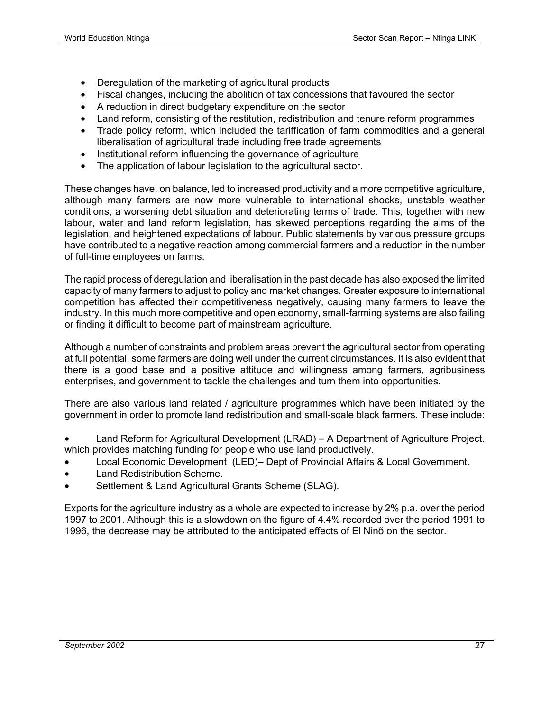- Deregulation of the marketing of agricultural products
- Fiscal changes, including the abolition of tax concessions that favoured the sector
- A reduction in direct budgetary expenditure on the sector
- Land reform, consisting of the restitution, redistribution and tenure reform programmes
- Trade policy reform, which included the tariffication of farm commodities and a general liberalisation of agricultural trade including free trade agreements
- Institutional reform influencing the governance of agriculture
- The application of labour legislation to the agricultural sector.

These changes have, on balance, led to increased productivity and a more competitive agriculture, although many farmers are now more vulnerable to international shocks, unstable weather conditions, a worsening debt situation and deteriorating terms of trade. This, together with new labour, water and land reform legislation, has skewed perceptions regarding the aims of the legislation, and heightened expectations of labour. Public statements by various pressure groups have contributed to a negative reaction among commercial farmers and a reduction in the number of full-time employees on farms.

The rapid process of deregulation and liberalisation in the past decade has also exposed the limited capacity of many farmers to adjust to policy and market changes. Greater exposure to international competition has affected their competitiveness negatively, causing many farmers to leave the industry. In this much more competitive and open economy, small-farming systems are also failing or finding it difficult to become part of mainstream agriculture.

Although a number of constraints and problem areas prevent the agricultural sector from operating at full potential, some farmers are doing well under the current circumstances. It is also evident that there is a good base and a positive attitude and willingness among farmers, agribusiness enterprises, and government to tackle the challenges and turn them into opportunities.

There are also various land related / agriculture programmes which have been initiated by the government in order to promote land redistribution and small-scale black farmers. These include:

- Land Reform for Agricultural Development (LRAD) A Department of Agriculture Project. which provides matching funding for people who use land productively.
- Local Economic Development (LED)– Dept of Provincial Affairs & Local Government.
- Land Redistribution Scheme.
- Settlement & Land Agricultural Grants Scheme (SLAG).

Exports for the agriculture industry as a whole are expected to increase by 2% p.a. over the period 1997 to 2001. Although this is a slowdown on the figure of 4.4% recorded over the period 1991 to 1996, the decrease may be attributed to the anticipated effects of El Ninõ on the sector.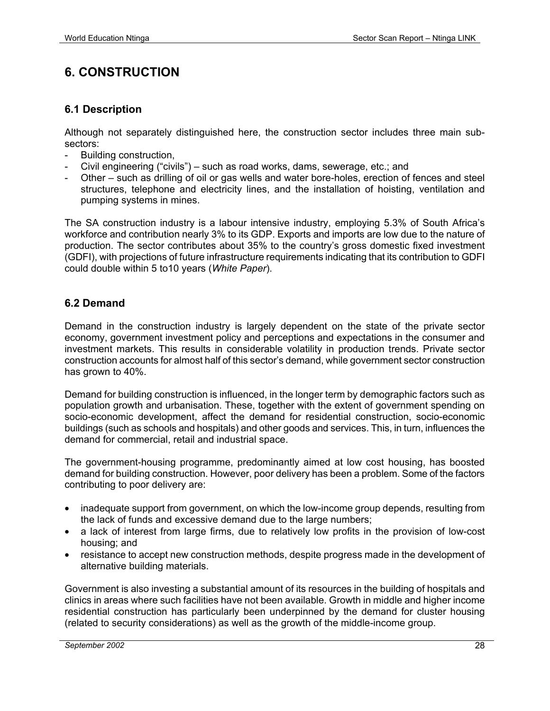# **6. CONSTRUCTION**

#### **6.1 Description**

Although not separately distinguished here, the construction sector includes three main subsectors:

- Building construction,
- Civil engineering ("civils") such as road works, dams, sewerage, etc.; and
- Other such as drilling of oil or gas wells and water bore-holes, erection of fences and steel structures, telephone and electricity lines, and the installation of hoisting, ventilation and pumping systems in mines.

The SA construction industry is a labour intensive industry, employing 5.3% of South Africa's workforce and contribution nearly 3% to its GDP. Exports and imports are low due to the nature of production. The sector contributes about 35% to the country's gross domestic fixed investment (GDFI), with projections of future infrastructure requirements indicating that its contribution to GDFI could double within 5 to10 years (*White Paper*).

#### **6.2 Demand**

Demand in the construction industry is largely dependent on the state of the private sector economy, government investment policy and perceptions and expectations in the consumer and investment markets. This results in considerable volatility in production trends. Private sector construction accounts for almost half of this sector's demand, while government sector construction has grown to 40%.

Demand for building construction is influenced, in the longer term by demographic factors such as population growth and urbanisation. These, together with the extent of government spending on socio-economic development, affect the demand for residential construction, socio-economic buildings (such as schools and hospitals) and other goods and services. This, in turn, influences the demand for commercial, retail and industrial space.

The government-housing programme, predominantly aimed at low cost housing, has boosted demand for building construction. However, poor delivery has been a problem. Some of the factors contributing to poor delivery are:

- inadequate support from government, on which the low-income group depends, resulting from the lack of funds and excessive demand due to the large numbers;
- a lack of interest from large firms, due to relatively low profits in the provision of low-cost housing; and
- resistance to accept new construction methods, despite progress made in the development of alternative building materials.

Government is also investing a substantial amount of its resources in the building of hospitals and clinics in areas where such facilities have not been available. Growth in middle and higher income residential construction has particularly been underpinned by the demand for cluster housing (related to security considerations) as well as the growth of the middle-income group.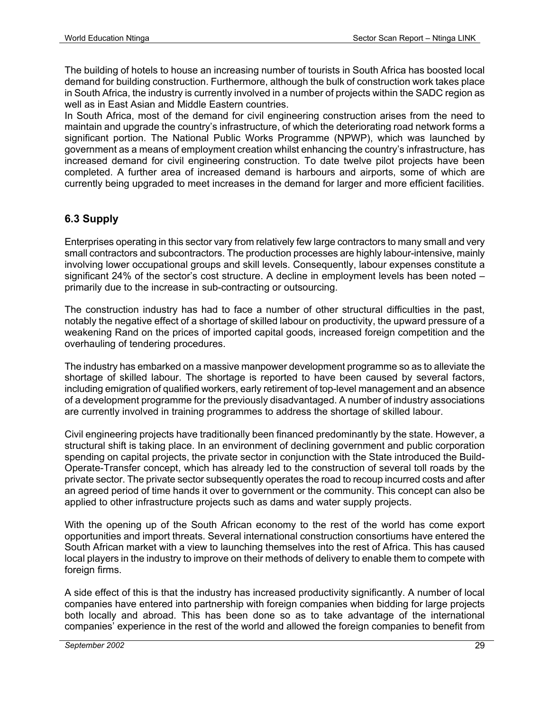The building of hotels to house an increasing number of tourists in South Africa has boosted local demand for building construction. Furthermore, although the bulk of construction work takes place in South Africa, the industry is currently involved in a number of projects within the SADC region as well as in East Asian and Middle Eastern countries.

In South Africa, most of the demand for civil engineering construction arises from the need to maintain and upgrade the country's infrastructure, of which the deteriorating road network forms a significant portion. The National Public Works Programme (NPWP), which was launched by government as a means of employment creation whilst enhancing the country's infrastructure, has increased demand for civil engineering construction. To date twelve pilot projects have been completed. A further area of increased demand is harbours and airports, some of which are currently being upgraded to meet increases in the demand for larger and more efficient facilities.

#### **6.3 Supply**

Enterprises operating in this sector vary from relatively few large contractors to many small and very small contractors and subcontractors. The production processes are highly labour-intensive, mainly involving lower occupational groups and skill levels. Consequently, labour expenses constitute a significant 24% of the sector's cost structure. A decline in employment levels has been noted – primarily due to the increase in sub-contracting or outsourcing.

The construction industry has had to face a number of other structural difficulties in the past, notably the negative effect of a shortage of skilled labour on productivity, the upward pressure of a weakening Rand on the prices of imported capital goods, increased foreign competition and the overhauling of tendering procedures.

The industry has embarked on a massive manpower development programme so as to alleviate the shortage of skilled labour. The shortage is reported to have been caused by several factors, including emigration of qualified workers, early retirement of top-level management and an absence of a development programme for the previously disadvantaged. A number of industry associations are currently involved in training programmes to address the shortage of skilled labour.

Civil engineering projects have traditionally been financed predominantly by the state. However, a structural shift is taking place. In an environment of declining government and public corporation spending on capital projects, the private sector in conjunction with the State introduced the Build-Operate-Transfer concept, which has already led to the construction of several toll roads by the private sector. The private sector subsequently operates the road to recoup incurred costs and after an agreed period of time hands it over to government or the community. This concept can also be applied to other infrastructure projects such as dams and water supply projects.

With the opening up of the South African economy to the rest of the world has come export opportunities and import threats. Several international construction consortiums have entered the South African market with a view to launching themselves into the rest of Africa. This has caused local players in the industry to improve on their methods of delivery to enable them to compete with foreign firms.

A side effect of this is that the industry has increased productivity significantly. A number of local companies have entered into partnership with foreign companies when bidding for large projects both locally and abroad. This has been done so as to take advantage of the international companies' experience in the rest of the world and allowed the foreign companies to benefit from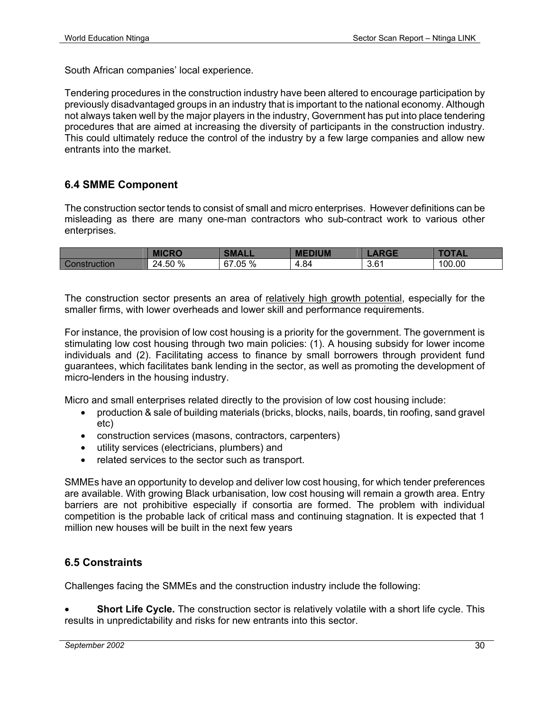South African companies' local experience.

Tendering procedures in the construction industry have been altered to encourage participation by previously disadvantaged groups in an industry that is important to the national economy. Although not always taken well by the major players in the industry, Government has put into place tendering procedures that are aimed at increasing the diversity of participants in the construction industry. This could ultimately reduce the control of the industry by a few large companies and allow new entrants into the market.

#### **6.4 SMME Component**

The construction sector tends to consist of small and micro enterprises. However definitions can be misleading as there are many one-man contractors who sub-contract work to various other enterprises.

|                        | <b>MICRO</b> | <b>SMALL</b>        | <b>MEDIUM</b> | $\sim$ | <b>TOTAL</b> |
|------------------------|--------------|---------------------|---------------|--------|--------------|
| <b>Const</b><br>'ction | 24.50 %      | $.05\%$<br>67<br>νı | 4.84          | 3.61   | 100.00       |

The construction sector presents an area of relatively high growth potential, especially for the smaller firms, with lower overheads and lower skill and performance requirements.

For instance, the provision of low cost housing is a priority for the government. The government is stimulating low cost housing through two main policies: (1). A housing subsidy for lower income individuals and (2). Facilitating access to finance by small borrowers through provident fund guarantees, which facilitates bank lending in the sector, as well as promoting the development of micro-lenders in the housing industry.

Micro and small enterprises related directly to the provision of low cost housing include:

- production & sale of building materials (bricks, blocks, nails, boards, tin roofing, sand gravel etc)
- construction services (masons, contractors, carpenters)
- utility services (electricians, plumbers) and
- related services to the sector such as transport.

SMMEs have an opportunity to develop and deliver low cost housing, for which tender preferences are available. With growing Black urbanisation, low cost housing will remain a growth area. Entry barriers are not prohibitive especially if consortia are formed. The problem with individual competition is the probable lack of critical mass and continuing stagnation. It is expected that 1 million new houses will be built in the next few years

#### **6.5 Constraints**

Challenges facing the SMMEs and the construction industry include the following:

• **Short Life Cycle.** The construction sector is relatively volatile with a short life cycle. This results in unpredictability and risks for new entrants into this sector.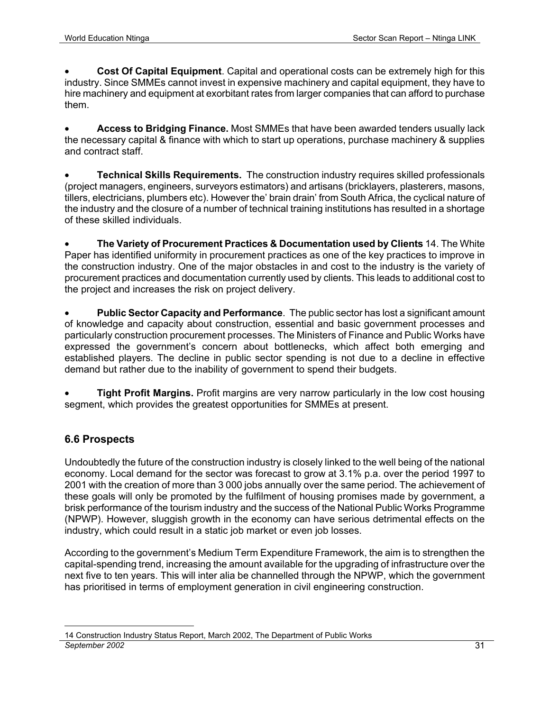• **Cost Of Capital Equipment**. Capital and operational costs can be extremely high for this industry. Since SMMEs cannot invest in expensive machinery and capital equipment, they have to hire machinery and equipment at exorbitant rates from larger companies that can afford to purchase them.

• **Access to Bridging Finance.** Most SMMEs that have been awarded tenders usually lack the necessary capital & finance with which to start up operations, purchase machinery & supplies and contract staff.

• **Technical Skills Requirements.** The construction industry requires skilled professionals (project managers, engineers, surveyors estimators) and artisans (bricklayers, plasterers, masons, tillers, electricians, plumbers etc). However the' brain drain' from South Africa, the cyclical nature of the industry and the closure of a number of technical training institutions has resulted in a shortage of these skilled individuals.

• **The Variety of Procurement Practices & Documentation used by Clients** 14. The White Paper has identified uniformity in procurement practices as one of the key practices to improve in the construction industry. One of the major obstacles in and cost to the industry is the variety of procurement practices and documentation currently used by clients. This leads to additional cost to the project and increases the risk on project delivery.

• **Public Sector Capacity and Performance**. The public sector has lost a significant amount of knowledge and capacity about construction, essential and basic government processes and particularly construction procurement processes. The Ministers of Finance and Public Works have expressed the government's concern about bottlenecks, which affect both emerging and established players. The decline in public sector spending is not due to a decline in effective demand but rather due to the inability of government to spend their budgets.

• **Tight Profit Margins.** Profit margins are very narrow particularly in the low cost housing segment, which provides the greatest opportunities for SMMEs at present.

#### **6.6 Prospects**

Undoubtedly the future of the construction industry is closely linked to the well being of the national economy. Local demand for the sector was forecast to grow at 3.1% p.a. over the period 1997 to 2001 with the creation of more than 3 000 jobs annually over the same period. The achievement of these goals will only be promoted by the fulfilment of housing promises made by government, a brisk performance of the tourism industry and the success of the National Public Works Programme (NPWP). However, sluggish growth in the economy can have serious detrimental effects on the industry, which could result in a static job market or even job losses.

According to the government's Medium Term Expenditure Framework, the aim is to strengthen the capital-spending trend, increasing the amount available for the upgrading of infrastructure over the next five to ten years. This will inter alia be channelled through the NPWP, which the government has prioritised in terms of employment generation in civil engineering construction.

*September 2002* 31 <u>.</u> 14 Construction Industry Status Report, March 2002, The Department of Public Works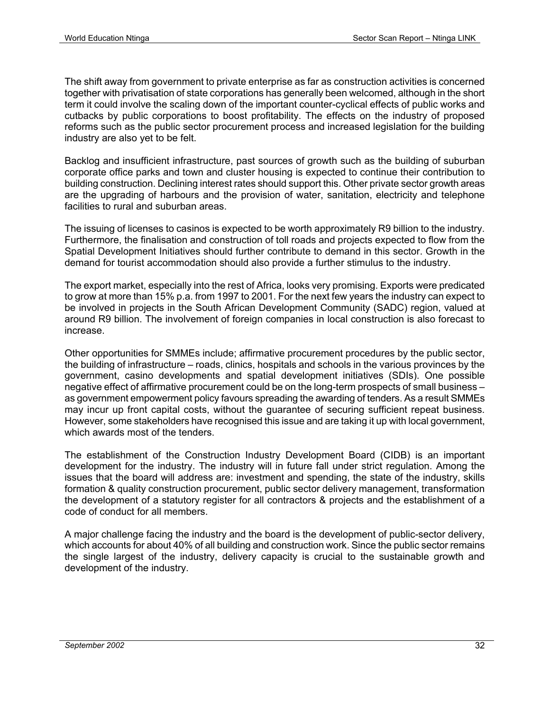The shift away from government to private enterprise as far as construction activities is concerned together with privatisation of state corporations has generally been welcomed, although in the short term it could involve the scaling down of the important counter-cyclical effects of public works and cutbacks by public corporations to boost profitability. The effects on the industry of proposed reforms such as the public sector procurement process and increased legislation for the building industry are also yet to be felt.

Backlog and insufficient infrastructure, past sources of growth such as the building of suburban corporate office parks and town and cluster housing is expected to continue their contribution to building construction. Declining interest rates should support this. Other private sector growth areas are the upgrading of harbours and the provision of water, sanitation, electricity and telephone facilities to rural and suburban areas.

The issuing of licenses to casinos is expected to be worth approximately R9 billion to the industry. Furthermore, the finalisation and construction of toll roads and projects expected to flow from the Spatial Development Initiatives should further contribute to demand in this sector. Growth in the demand for tourist accommodation should also provide a further stimulus to the industry.

The export market, especially into the rest of Africa, looks very promising. Exports were predicated to grow at more than 15% p.a. from 1997 to 2001. For the next few years the industry can expect to be involved in projects in the South African Development Community (SADC) region, valued at around R9 billion. The involvement of foreign companies in local construction is also forecast to increase.

Other opportunities for SMMEs include; affirmative procurement procedures by the public sector, the building of infrastructure – roads, clinics, hospitals and schools in the various provinces by the government, casino developments and spatial development initiatives (SDIs). One possible negative effect of affirmative procurement could be on the long-term prospects of small business – as government empowerment policy favours spreading the awarding of tenders. As a result SMMEs may incur up front capital costs, without the guarantee of securing sufficient repeat business. However, some stakeholders have recognised this issue and are taking it up with local government, which awards most of the tenders.

The establishment of the Construction Industry Development Board (CIDB) is an important development for the industry. The industry will in future fall under strict regulation. Among the issues that the board will address are: investment and spending, the state of the industry, skills formation & quality construction procurement, public sector delivery management, transformation the development of a statutory register for all contractors & projects and the establishment of a code of conduct for all members.

A major challenge facing the industry and the board is the development of public-sector delivery, which accounts for about 40% of all building and construction work. Since the public sector remains the single largest of the industry, delivery capacity is crucial to the sustainable growth and development of the industry.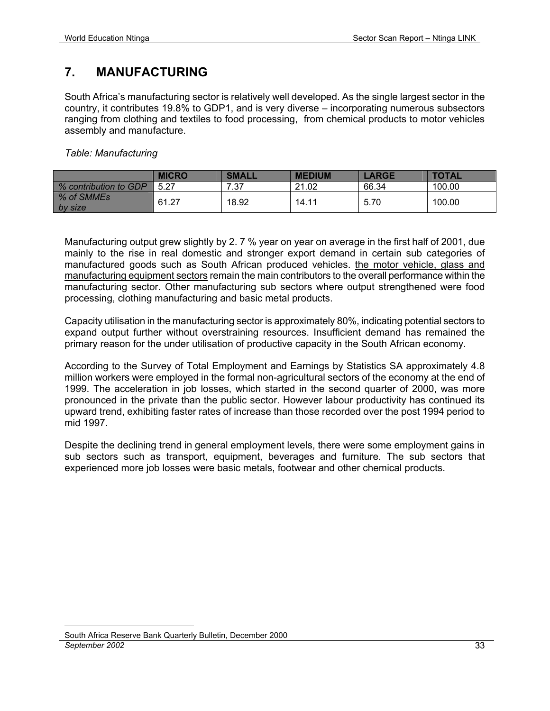# **7. MANUFACTURING**

South Africa's manufacturing sector is relatively well developed. As the single largest sector in the country, it contributes 19.8% to GDP1, and is very diverse – incorporating numerous subsectors ranging from clothing and textiles to food processing, from chemical products to motor vehicles assembly and manufacture.

*Table: Manufacturing* 

|                         | <b>MICRO</b> | <b>SMALL</b> | <b>MEDIUM</b> | <b>_ARGE</b> | <b>TOTAL</b> |
|-------------------------|--------------|--------------|---------------|--------------|--------------|
| % contribution to GDP   | 5.27         | 7.37         | 21.02         | 66.34        | 100.00       |
| │ % of SMMEs<br>by size | 61.27        | 18.92        | 14.11         | 5.70         | 100.00       |

Manufacturing output grew slightly by 2. 7 % year on year on average in the first half of 2001, due mainly to the rise in real domestic and stronger export demand in certain sub categories of manufactured goods such as South African produced vehicles. the motor vehicle, glass and manufacturing equipment sectors remain the main contributors to the overall performance within the manufacturing sector. Other manufacturing sub sectors where output strengthened were food processing, clothing manufacturing and basic metal products.

Capacity utilisation in the manufacturing sector is approximately 80%, indicating potential sectors to expand output further without overstraining resources. Insufficient demand has remained the primary reason for the under utilisation of productive capacity in the South African economy.

According to the Survey of Total Employment and Earnings by Statistics SA approximately 4.8 million workers were employed in the formal non-agricultural sectors of the economy at the end of 1999. The acceleration in job losses, which started in the second quarter of 2000, was more pronounced in the private than the public sector. However labour productivity has continued its upward trend, exhibiting faster rates of increase than those recorded over the post 1994 period to mid 1997.

Despite the declining trend in general employment levels, there were some employment gains in sub sectors such as transport, equipment, beverages and furniture. The sub sectors that experienced more job losses were basic metals, footwear and other chemical products.

*September 2002* 33 <u>.</u> South Africa Reserve Bank Quarterly Bulletin, December 2000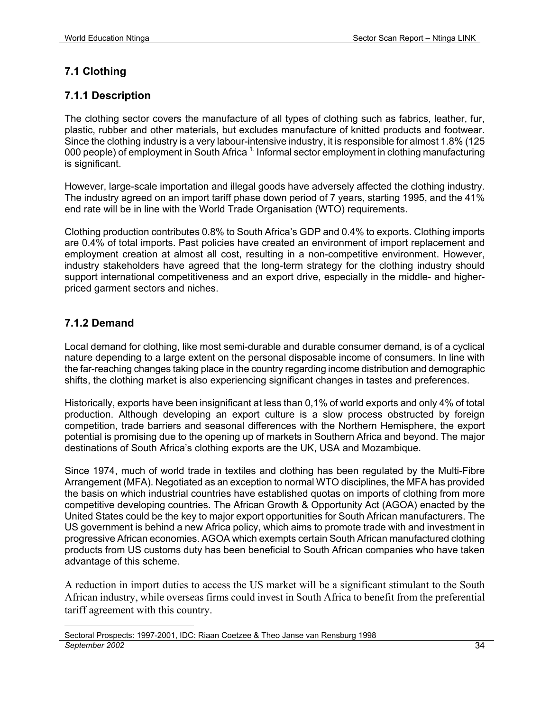#### **7.1 Clothing**

#### **7.1.1 Description**

The clothing sector covers the manufacture of all types of clothing such as fabrics, leather, fur, plastic, rubber and other materials, but excludes manufacture of knitted products and footwear. Since the clothing industry is a very labour-intensive industry, it is responsible for almost 1.8% (125 000 people) of employment in South Africa <sup>1.</sup> Informal sector employment in clothing manufacturing is significant.

However, large-scale importation and illegal goods have adversely affected the clothing industry. The industry agreed on an import tariff phase down period of 7 years, starting 1995, and the 41% end rate will be in line with the World Trade Organisation (WTO) requirements.

Clothing production contributes 0.8% to South Africa's GDP and 0.4% to exports. Clothing imports are 0.4% of total imports. Past policies have created an environment of import replacement and employment creation at almost all cost, resulting in a non-competitive environment. However, industry stakeholders have agreed that the long-term strategy for the clothing industry should support international competitiveness and an export drive, especially in the middle- and higherpriced garment sectors and niches.

#### **7.1.2 Demand**

Local demand for clothing, like most semi-durable and durable consumer demand, is of a cyclical nature depending to a large extent on the personal disposable income of consumers. In line with the far-reaching changes taking place in the country regarding income distribution and demographic shifts, the clothing market is also experiencing significant changes in tastes and preferences.

Historically, exports have been insignificant at less than 0,1% of world exports and only 4% of total production. Although developing an export culture is a slow process obstructed by foreign competition, trade barriers and seasonal differences with the Northern Hemisphere, the export potential is promising due to the opening up of markets in Southern Africa and beyond. The major destinations of South Africa's clothing exports are the UK, USA and Mozambique.

Since 1974, much of world trade in textiles and clothing has been regulated by the Multi-Fibre Arrangement (MFA). Negotiated as an exception to normal WTO disciplines, the MFA has provided the basis on which industrial countries have established quotas on imports of clothing from more competitive developing countries. The African Growth & Opportunity Act (AGOA) enacted by the United States could be the key to major export opportunities for South African manufacturers. The US government is behind a new Africa policy, which aims to promote trade with and investment in progressive African economies. AGOA which exempts certain South African manufactured clothing products from US customs duty has been beneficial to South African companies who have taken advantage of this scheme.

A reduction in import duties to access the US market will be a significant stimulant to the South African industry, while overseas firms could invest in South Africa to benefit from the preferential tariff agreement with this country.

*September 2002* 34 <u>.</u> Sectoral Prospects: 1997-2001, IDC: Riaan Coetzee & Theo Janse van Rensburg 1998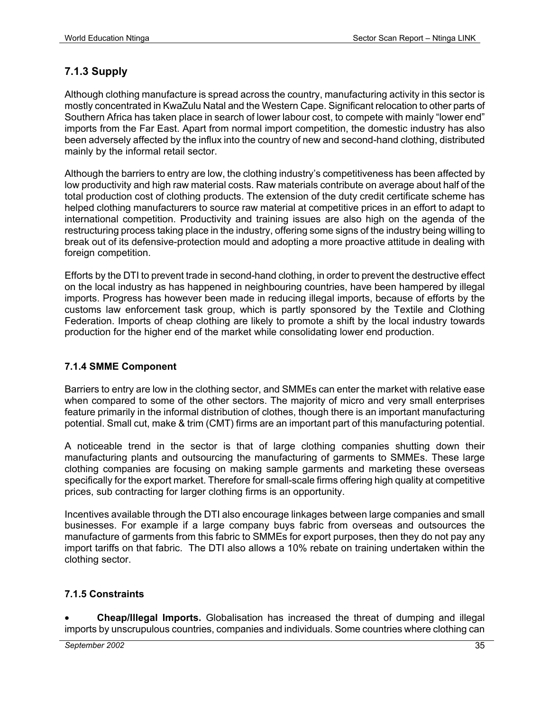#### **7.1.3 Supply**

Although clothing manufacture is spread across the country, manufacturing activity in this sector is mostly concentrated in KwaZulu Natal and the Western Cape. Significant relocation to other parts of Southern Africa has taken place in search of lower labour cost, to compete with mainly "lower end" imports from the Far East. Apart from normal import competition, the domestic industry has also been adversely affected by the influx into the country of new and second-hand clothing, distributed mainly by the informal retail sector.

Although the barriers to entry are low, the clothing industry's competitiveness has been affected by low productivity and high raw material costs. Raw materials contribute on average about half of the total production cost of clothing products. The extension of the duty credit certificate scheme has helped clothing manufacturers to source raw material at competitive prices in an effort to adapt to international competition. Productivity and training issues are also high on the agenda of the restructuring process taking place in the industry, offering some signs of the industry being willing to break out of its defensive-protection mould and adopting a more proactive attitude in dealing with foreign competition.

Efforts by the DTI to prevent trade in second-hand clothing, in order to prevent the destructive effect on the local industry as has happened in neighbouring countries, have been hampered by illegal imports. Progress has however been made in reducing illegal imports, because of efforts by the customs law enforcement task group, which is partly sponsored by the Textile and Clothing Federation. Imports of cheap clothing are likely to promote a shift by the local industry towards production for the higher end of the market while consolidating lower end production.

#### **7.1.4 SMME Component**

Barriers to entry are low in the clothing sector, and SMMEs can enter the market with relative ease when compared to some of the other sectors. The majority of micro and very small enterprises feature primarily in the informal distribution of clothes, though there is an important manufacturing potential. Small cut, make & trim (CMT) firms are an important part of this manufacturing potential.

A noticeable trend in the sector is that of large clothing companies shutting down their manufacturing plants and outsourcing the manufacturing of garments to SMMEs. These large clothing companies are focusing on making sample garments and marketing these overseas specifically for the export market. Therefore for small-scale firms offering high quality at competitive prices, sub contracting for larger clothing firms is an opportunity.

Incentives available through the DTI also encourage linkages between large companies and small businesses. For example if a large company buys fabric from overseas and outsources the manufacture of garments from this fabric to SMMEs for export purposes, then they do not pay any import tariffs on that fabric. The DTI also allows a 10% rebate on training undertaken within the clothing sector.

#### **7.1.5 Constraints**

• **Cheap/Illegal Imports.** Globalisation has increased the threat of dumping and illegal imports by unscrupulous countries, companies and individuals. Some countries where clothing can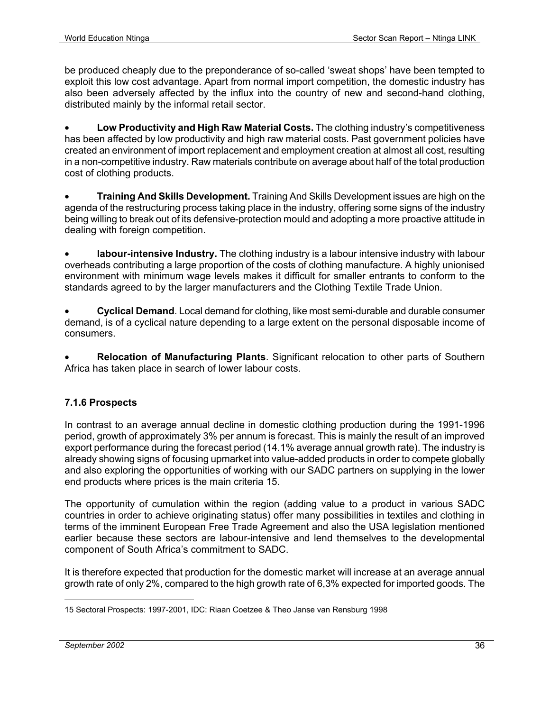be produced cheaply due to the preponderance of so-called 'sweat shops' have been tempted to exploit this low cost advantage. Apart from normal import competition, the domestic industry has also been adversely affected by the influx into the country of new and second-hand clothing, distributed mainly by the informal retail sector.

• **Low Productivity and High Raw Material Costs.** The clothing industry's competitiveness has been affected by low productivity and high raw material costs. Past government policies have created an environment of import replacement and employment creation at almost all cost, resulting in a non-competitive industry. Raw materials contribute on average about half of the total production cost of clothing products.

• **Training And Skills Development.** Training And Skills Development issues are high on the agenda of the restructuring process taking place in the industry, offering some signs of the industry being willing to break out of its defensive-protection mould and adopting a more proactive attitude in dealing with foreign competition.

**labour-intensive Industry.** The clothing industry is a labour intensive industry with labour overheads contributing a large proportion of the costs of clothing manufacture. A highly unionised environment with minimum wage levels makes it difficult for smaller entrants to conform to the standards agreed to by the larger manufacturers and the Clothing Textile Trade Union.

• **Cyclical Demand**. Local demand for clothing, like most semi-durable and durable consumer demand, is of a cyclical nature depending to a large extent on the personal disposable income of consumers.

• **Relocation of Manufacturing Plants**. Significant relocation to other parts of Southern Africa has taken place in search of lower labour costs.

#### **7.1.6 Prospects**

In contrast to an average annual decline in domestic clothing production during the 1991-1996 period, growth of approximately 3% per annum is forecast. This is mainly the result of an improved export performance during the forecast period (14.1% average annual growth rate). The industry is already showing signs of focusing upmarket into value-added products in order to compete globally and also exploring the opportunities of working with our SADC partners on supplying in the lower end products where prices is the main criteria 15.

The opportunity of cumulation within the region (adding value to a product in various SADC countries in order to achieve originating status) offer many possibilities in textiles and clothing in terms of the imminent European Free Trade Agreement and also the USA legislation mentioned earlier because these sectors are labour-intensive and lend themselves to the developmental component of South Africa's commitment to SADC.

It is therefore expected that production for the domestic market will increase at an average annual growth rate of only 2%, compared to the high growth rate of 6,3% expected for imported goods. The

<sup>1</sup> 15 Sectoral Prospects: 1997-2001, IDC: Riaan Coetzee & Theo Janse van Rensburg 1998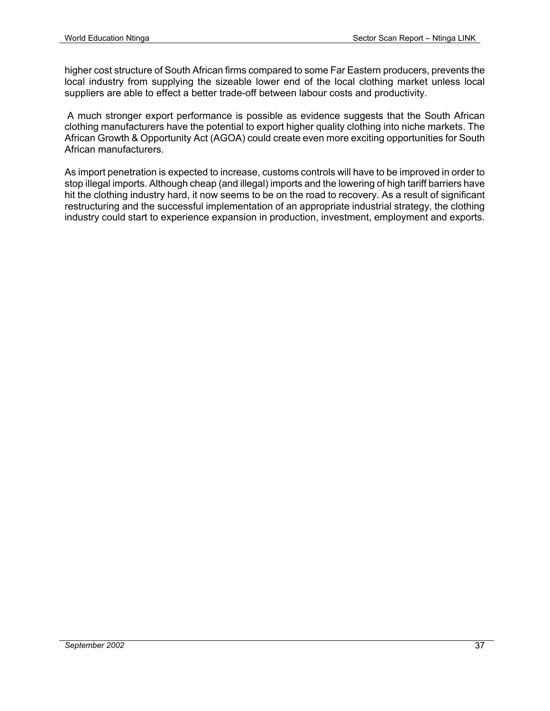higher cost structure of South African firms compared to some Far Eastern producers, prevents the local industry from supplying the sizeable lower end of the local clothing market unless local suppliers are able to effect a better trade-off between labour costs and productivity.

 A much stronger export performance is possible as evidence suggests that the South African clothing manufacturers have the potential to export higher quality clothing into niche markets. The African Growth & Opportunity Act (AGOA) could create even more exciting opportunities for South African manufacturers.

As import penetration is expected to increase, customs controls will have to be improved in order to stop illegal imports. Although cheap (and illegal) imports and the lowering of high tariff barriers have hit the clothing industry hard, it now seems to be on the road to recovery. As a result of significant restructuring and the successful implementation of an appropriate industrial strategy, the clothing industry could start to experience expansion in production, investment, employment and exports.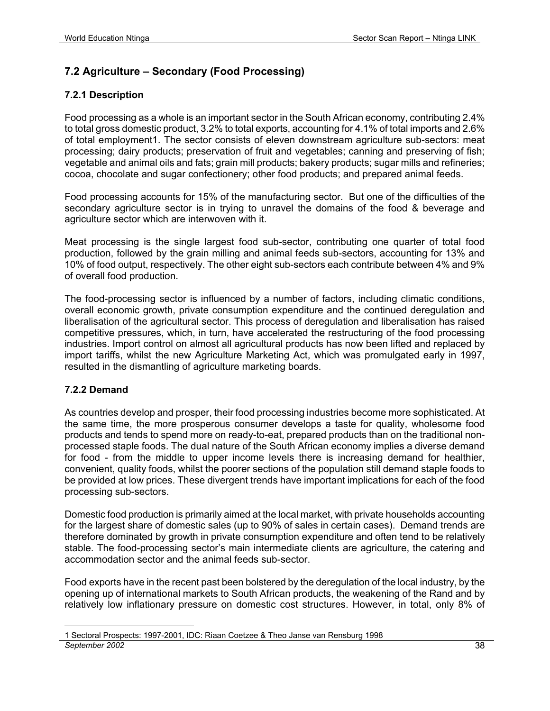#### **7.2 Agriculture – Secondary (Food Processing)**

#### **7.2.1 Description**

Food processing as a whole is an important sector in the South African economy, contributing 2.4% to total gross domestic product, 3.2% to total exports, accounting for 4.1% of total imports and 2.6% of total employment1. The sector consists of eleven downstream agriculture sub-sectors: meat processing; dairy products; preservation of fruit and vegetables; canning and preserving of fish; vegetable and animal oils and fats; grain mill products; bakery products; sugar mills and refineries; cocoa, chocolate and sugar confectionery; other food products; and prepared animal feeds.

Food processing accounts for 15% of the manufacturing sector. But one of the difficulties of the secondary agriculture sector is in trying to unravel the domains of the food & beverage and agriculture sector which are interwoven with it.

Meat processing is the single largest food sub-sector, contributing one quarter of total food production, followed by the grain milling and animal feeds sub-sectors, accounting for 13% and 10% of food output, respectively. The other eight sub-sectors each contribute between 4% and 9% of overall food production.

The food-processing sector is influenced by a number of factors, including climatic conditions, overall economic growth, private consumption expenditure and the continued deregulation and liberalisation of the agricultural sector. This process of deregulation and liberalisation has raised competitive pressures, which, in turn, have accelerated the restructuring of the food processing industries. Import control on almost all agricultural products has now been lifted and replaced by import tariffs, whilst the new Agriculture Marketing Act, which was promulgated early in 1997, resulted in the dismantling of agriculture marketing boards.

#### **7.2.2 Demand**

As countries develop and prosper, their food processing industries become more sophisticated. At the same time, the more prosperous consumer develops a taste for quality, wholesome food products and tends to spend more on ready-to-eat, prepared products than on the traditional nonprocessed staple foods. The dual nature of the South African economy implies a diverse demand for food - from the middle to upper income levels there is increasing demand for healthier, convenient, quality foods, whilst the poorer sections of the population still demand staple foods to be provided at low prices. These divergent trends have important implications for each of the food processing sub-sectors.

Domestic food production is primarily aimed at the local market, with private households accounting for the largest share of domestic sales (up to 90% of sales in certain cases). Demand trends are therefore dominated by growth in private consumption expenditure and often tend to be relatively stable. The food-processing sector's main intermediate clients are agriculture, the catering and accommodation sector and the animal feeds sub-sector.

Food exports have in the recent past been bolstered by the deregulation of the local industry, by the opening up of international markets to South African products, the weakening of the Rand and by relatively low inflationary pressure on domestic cost structures. However, in total, only 8% of

*September 2002* 38 <u>.</u> 1 Sectoral Prospects: 1997-2001, IDC: Riaan Coetzee & Theo Janse van Rensburg 1998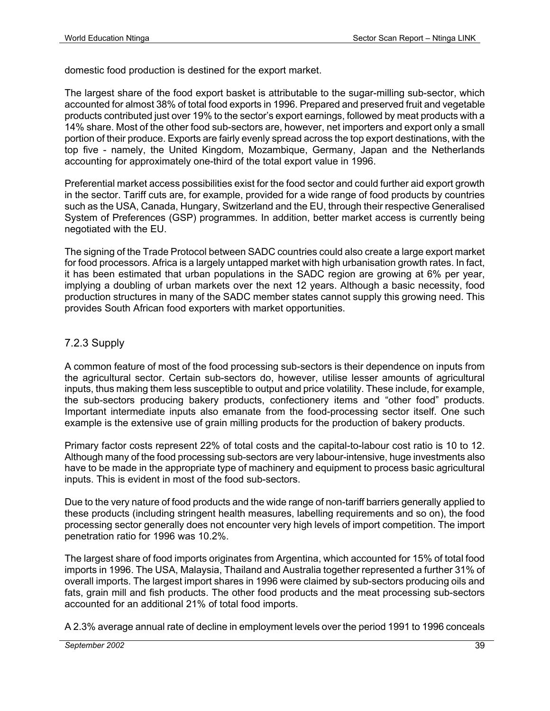domestic food production is destined for the export market.

The largest share of the food export basket is attributable to the sugar-milling sub-sector, which accounted for almost 38% of total food exports in 1996. Prepared and preserved fruit and vegetable products contributed just over 19% to the sector's export earnings, followed by meat products with a 14% share. Most of the other food sub-sectors are, however, net importers and export only a small portion of their produce. Exports are fairly evenly spread across the top export destinations, with the top five - namely, the United Kingdom, Mozambique, Germany, Japan and the Netherlands accounting for approximately one-third of the total export value in 1996.

Preferential market access possibilities exist for the food sector and could further aid export growth in the sector. Tariff cuts are, for example, provided for a wide range of food products by countries such as the USA, Canada, Hungary, Switzerland and the EU, through their respective Generalised System of Preferences (GSP) programmes. In addition, better market access is currently being negotiated with the EU.

The signing of the Trade Protocol between SADC countries could also create a large export market for food processors. Africa is a largely untapped market with high urbanisation growth rates. In fact, it has been estimated that urban populations in the SADC region are growing at 6% per year, implying a doubling of urban markets over the next 12 years. Although a basic necessity, food production structures in many of the SADC member states cannot supply this growing need. This provides South African food exporters with market opportunities.

#### 7.2.3 Supply

A common feature of most of the food processing sub-sectors is their dependence on inputs from the agricultural sector. Certain sub-sectors do, however, utilise lesser amounts of agricultural inputs, thus making them less susceptible to output and price volatility. These include, for example, the sub-sectors producing bakery products, confectionery items and "other food" products. Important intermediate inputs also emanate from the food-processing sector itself. One such example is the extensive use of grain milling products for the production of bakery products.

Primary factor costs represent 22% of total costs and the capital-to-labour cost ratio is 10 to 12. Although many of the food processing sub-sectors are very labour-intensive, huge investments also have to be made in the appropriate type of machinery and equipment to process basic agricultural inputs. This is evident in most of the food sub-sectors.

Due to the very nature of food products and the wide range of non-tariff barriers generally applied to these products (including stringent health measures, labelling requirements and so on), the food processing sector generally does not encounter very high levels of import competition. The import penetration ratio for 1996 was 10.2%.

The largest share of food imports originates from Argentina, which accounted for 15% of total food imports in 1996. The USA, Malaysia, Thailand and Australia together represented a further 31% of overall imports. The largest import shares in 1996 were claimed by sub-sectors producing oils and fats, grain mill and fish products. The other food products and the meat processing sub-sectors accounted for an additional 21% of total food imports.

A 2.3% average annual rate of decline in employment levels over the period 1991 to 1996 conceals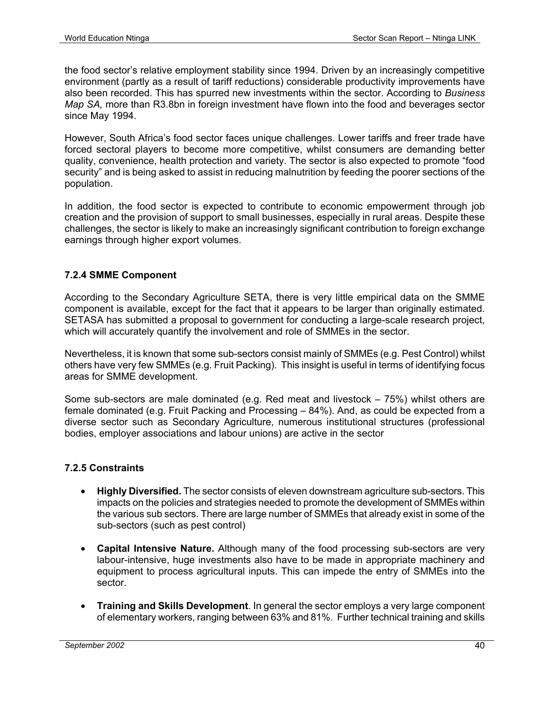the food sector's relative employment stability since 1994. Driven by an increasingly competitive environment (partly as a result of tariff reductions) considerable productivity improvements have also been recorded. This has spurred new investments within the sector. According to *Business Map SA,* more than R3.8bn in foreign investment have flown into the food and beverages sector since May 1994.

However, South Africa's food sector faces unique challenges. Lower tariffs and freer trade have forced sectoral players to become more competitive, whilst consumers are demanding better quality, convenience, health protection and variety. The sector is also expected to promote "food security" and is being asked to assist in reducing malnutrition by feeding the poorer sections of the population.

In addition, the food sector is expected to contribute to economic empowerment through job creation and the provision of support to small businesses, especially in rural areas. Despite these challenges, the sector is likely to make an increasingly significant contribution to foreign exchange earnings through higher export volumes.

#### **7.2.4 SMME Component**

According to the Secondary Agriculture SETA, there is very little empirical data on the SMME component is available, except for the fact that it appears to be larger than originally estimated. SETASA has submitted a proposal to government for conducting a large-scale research project, which will accurately quantify the involvement and role of SMMEs in the sector.

Nevertheless, it is known that some sub-sectors consist mainly of SMMEs (e.g. Pest Control) whilst others have very few SMMEs (e.g. Fruit Packing). This insight is useful in terms of identifying focus areas for SMME development.

Some sub-sectors are male dominated (e.g. Red meat and livestock – 75%) whilst others are female dominated (e.g. Fruit Packing and Processing – 84%). And, as could be expected from a diverse sector such as Secondary Agriculture, numerous institutional structures (professional bodies, employer associations and labour unions) are active in the sector

#### **7.2.5 Constraints**

- **Highly Diversified.** The sector consists of eleven downstream agriculture sub-sectors. This impacts on the policies and strategies needed to promote the development of SMMEs within the various sub sectors. There are large number of SMMEs that already exist in some of the sub-sectors (such as pest control)
- **Capital Intensive Nature.** Although many of the food processing sub-sectors are very labour-intensive, huge investments also have to be made in appropriate machinery and equipment to process agricultural inputs. This can impede the entry of SMMEs into the sector.
- **Training and Skills Development**. In general the sector employs a very large component of elementary workers, ranging between 63% and 81%. Further technical training and skills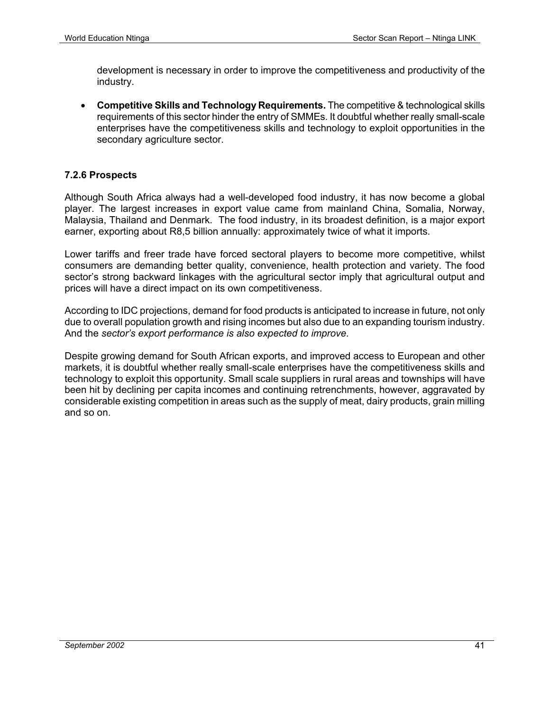development is necessary in order to improve the competitiveness and productivity of the industry.

• **Competitive Skills and Technology Requirements.** The competitive & technological skills requirements of this sector hinder the entry of SMMEs. It doubtful whether really small-scale enterprises have the competitiveness skills and technology to exploit opportunities in the secondary agriculture sector.

#### **7.2.6 Prospects**

Although South Africa always had a well-developed food industry, it has now become a global player. The largest increases in export value came from mainland China, Somalia, Norway, Malaysia, Thailand and Denmark. The food industry, in its broadest definition, is a major export earner, exporting about R8,5 billion annually: approximately twice of what it imports.

Lower tariffs and freer trade have forced sectoral players to become more competitive, whilst consumers are demanding better quality, convenience, health protection and variety. The food sector's strong backward linkages with the agricultural sector imply that agricultural output and prices will have a direct impact on its own competitiveness.

According to IDC projections, demand for food products is anticipated to increase in future, not only due to overall population growth and rising incomes but also due to an expanding tourism industry. And the *sector's export performance is also expected to improve.* 

Despite growing demand for South African exports, and improved access to European and other markets, it is doubtful whether really small-scale enterprises have the competitiveness skills and technology to exploit this opportunity. Small scale suppliers in rural areas and townships will have been hit by declining per capita incomes and continuing retrenchments, however, aggravated by considerable existing competition in areas such as the supply of meat, dairy products, grain milling and so on.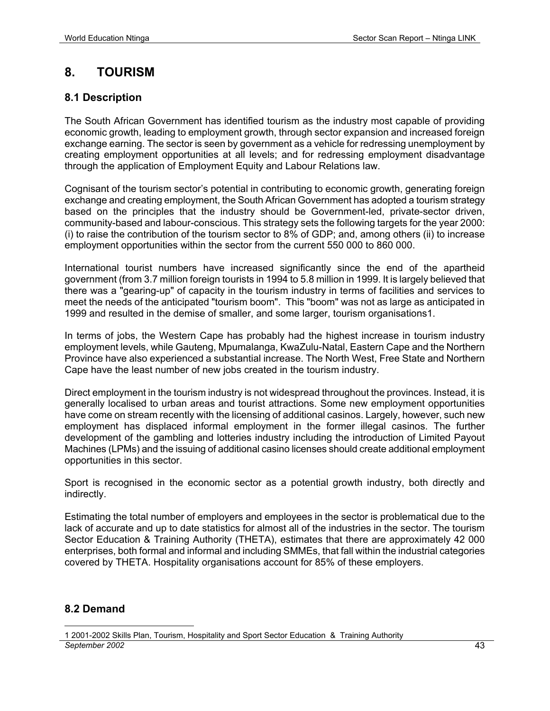# **8. TOURISM**

#### **8.1 Description**

The South African Government has identified tourism as the industry most capable of providing economic growth, leading to employment growth, through sector expansion and increased foreign exchange earning. The sector is seen by government as a vehicle for redressing unemployment by creating employment opportunities at all levels; and for redressing employment disadvantage through the application of Employment Equity and Labour Relations law.

Cognisant of the tourism sector's potential in contributing to economic growth, generating foreign exchange and creating employment, the South African Government has adopted a tourism strategy based on the principles that the industry should be Government-led, private-sector driven, community-based and labour-conscious. This strategy sets the following targets for the year 2000: (i) to raise the contribution of the tourism sector to 8% of GDP; and, among others (ii) to increase employment opportunities within the sector from the current 550 000 to 860 000.

International tourist numbers have increased significantly since the end of the apartheid government (from 3.7 million foreign tourists in 1994 to 5.8 million in 1999. It is largely believed that there was a "gearing-up" of capacity in the tourism industry in terms of facilities and services to meet the needs of the anticipated "tourism boom". This "boom" was not as large as anticipated in 1999 and resulted in the demise of smaller, and some larger, tourism organisations1.

In terms of jobs, the Western Cape has probably had the highest increase in tourism industry employment levels, while Gauteng, Mpumalanga, KwaZulu-Natal, Eastern Cape and the Northern Province have also experienced a substantial increase. The North West, Free State and Northern Cape have the least number of new jobs created in the tourism industry.

Direct employment in the tourism industry is not widespread throughout the provinces. Instead, it is generally localised to urban areas and tourist attractions. Some new employment opportunities have come on stream recently with the licensing of additional casinos. Largely, however, such new employment has displaced informal employment in the former illegal casinos. The further development of the gambling and lotteries industry including the introduction of Limited Payout Machines (LPMs) and the issuing of additional casino licenses should create additional employment opportunities in this sector.

Sport is recognised in the economic sector as a potential growth industry, both directly and indirectly.

Estimating the total number of employers and employees in the sector is problematical due to the lack of accurate and up to date statistics for almost all of the industries in the sector. The tourism Sector Education & Training Authority (THETA), estimates that there are approximately 42 000 enterprises, both formal and informal and including SMMEs, that fall within the industrial categories covered by THETA. Hospitality organisations account for 85% of these employers.

#### **8.2 Demand**

*September 2002* 43 <u>.</u> 1 2001-2002 Skills Plan, Tourism, Hospitality and Sport Sector Education & Training Authority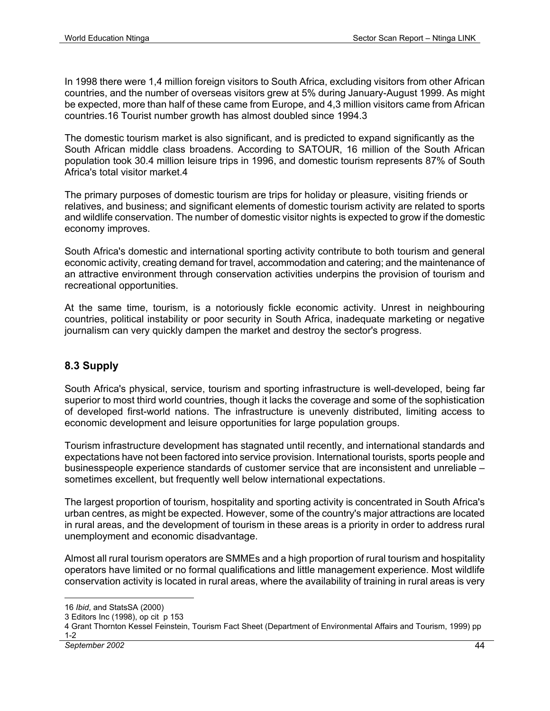In 1998 there were 1,4 million foreign visitors to South Africa, excluding visitors from other African countries, and the number of overseas visitors grew at 5% during January-August 1999. As might be expected, more than half of these came from Europe, and 4,3 million visitors came from African countries.16 Tourist number growth has almost doubled since 1994.3

The domestic tourism market is also significant, and is predicted to expand significantly as the South African middle class broadens. According to SATOUR, 16 million of the South African population took 30.4 million leisure trips in 1996, and domestic tourism represents 87% of South Africa's total visitor market.4

The primary purposes of domestic tourism are trips for holiday or pleasure, visiting friends or relatives, and business; and significant elements of domestic tourism activity are related to sports and wildlife conservation. The number of domestic visitor nights is expected to grow if the domestic economy improves.

South Africa's domestic and international sporting activity contribute to both tourism and general economic activity, creating demand for travel, accommodation and catering; and the maintenance of an attractive environment through conservation activities underpins the provision of tourism and recreational opportunities.

At the same time, tourism, is a notoriously fickle economic activity. Unrest in neighbouring countries, political instability or poor security in South Africa, inadequate marketing or negative journalism can very quickly dampen the market and destroy the sector's progress.

#### **8.3 Supply**

South Africa's physical, service, tourism and sporting infrastructure is well-developed, being far superior to most third world countries, though it lacks the coverage and some of the sophistication of developed first-world nations. The infrastructure is unevenly distributed, limiting access to economic development and leisure opportunities for large population groups.

Tourism infrastructure development has stagnated until recently, and international standards and expectations have not been factored into service provision. International tourists, sports people and businesspeople experience standards of customer service that are inconsistent and unreliable – sometimes excellent, but frequently well below international expectations.

The largest proportion of tourism, hospitality and sporting activity is concentrated in South Africa's urban centres, as might be expected. However, some of the country's major attractions are located in rural areas, and the development of tourism in these areas is a priority in order to address rural unemployment and economic disadvantage.

Almost all rural tourism operators are SMMEs and a high proportion of rural tourism and hospitality operators have limited or no formal qualifications and little management experience. Most wildlife conservation activity is located in rural areas, where the availability of training in rural areas is very

<u>.</u>

<sup>16</sup> *Ibid*, and StatsSA (2000)

<sup>3</sup> Editors Inc (1998), op cit p 153

<sup>4</sup> Grant Thornton Kessel Feinstein, Tourism Fact Sheet (Department of Environmental Affairs and Tourism, 1999) pp 1-2

*September 2002* 44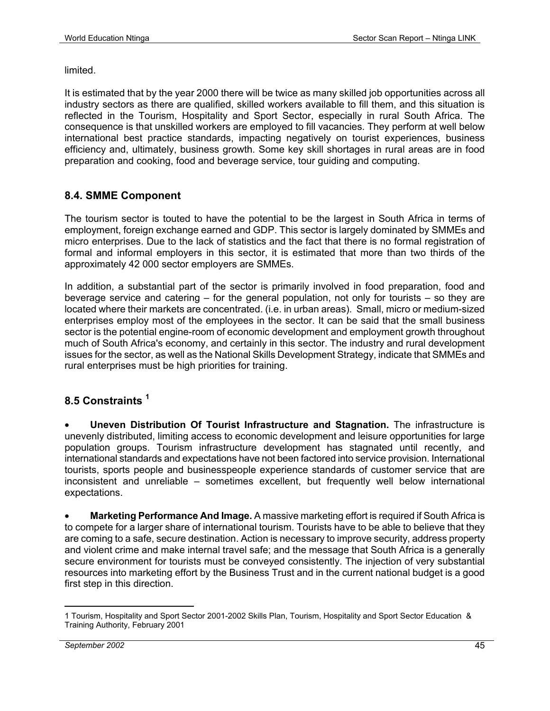limited.

It is estimated that by the year 2000 there will be twice as many skilled job opportunities across all industry sectors as there are qualified, skilled workers available to fill them, and this situation is reflected in the Tourism, Hospitality and Sport Sector, especially in rural South Africa. The consequence is that unskilled workers are employed to fill vacancies. They perform at well below international best practice standards, impacting negatively on tourist experiences, business efficiency and, ultimately, business growth. Some key skill shortages in rural areas are in food preparation and cooking, food and beverage service, tour guiding and computing.

#### **8.4. SMME Component**

The tourism sector is touted to have the potential to be the largest in South Africa in terms of employment, foreign exchange earned and GDP. This sector is largely dominated by SMMEs and micro enterprises. Due to the lack of statistics and the fact that there is no formal registration of formal and informal employers in this sector, it is estimated that more than two thirds of the approximately 42 000 sector employers are SMMEs.

In addition, a substantial part of the sector is primarily involved in food preparation, food and beverage service and catering – for the general population, not only for tourists – so they are located where their markets are concentrated. (i.e. in urban areas). Small, micro or medium-sized enterprises employ most of the employees in the sector. It can be said that the small business sector is the potential engine-room of economic development and employment growth throughout much of South Africa's economy, and certainly in this sector. The industry and rural development issues for the sector, as well as the National Skills Development Strategy, indicate that SMMEs and rural enterprises must be high priorities for training.

#### **8.5 Constraints <sup>1</sup>**

• **Uneven Distribution Of Tourist Infrastructure and Stagnation.** The infrastructure is unevenly distributed, limiting access to economic development and leisure opportunities for large population groups. Tourism infrastructure development has stagnated until recently, and international standards and expectations have not been factored into service provision. International tourists, sports people and businesspeople experience standards of customer service that are inconsistent and unreliable – sometimes excellent, but frequently well below international expectations.

• **Marketing Performance And Image.** A massive marketing effort is required if South Africa is to compete for a larger share of international tourism. Tourists have to be able to believe that they are coming to a safe, secure destination. Action is necessary to improve security, address property and violent crime and make internal travel safe; and the message that South Africa is a generally secure environment for tourists must be conveyed consistently. The injection of very substantial resources into marketing effort by the Business Trust and in the current national budget is a good first step in this direction.

<sup>1</sup> 1 Tourism, Hospitality and Sport Sector 2001-2002 Skills Plan, Tourism, Hospitality and Sport Sector Education & Training Authority, February 2001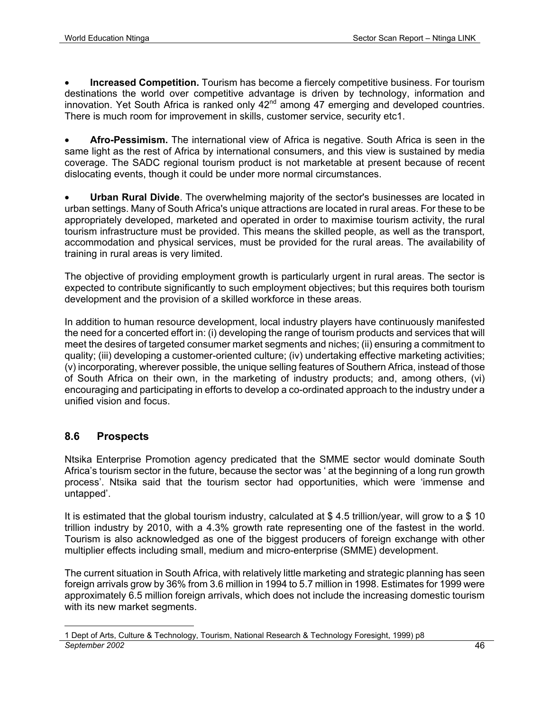• **Increased Competition.** Tourism has become a fiercely competitive business. For tourism destinations the world over competitive advantage is driven by technology, information and innovation. Yet South Africa is ranked only  $42<sup>nd</sup>$  among 47 emerging and developed countries. There is much room for improvement in skills, customer service, security etc1.

• **Afro-Pessimism.** The international view of Africa is negative. South Africa is seen in the same light as the rest of Africa by international consumers, and this view is sustained by media coverage. The SADC regional tourism product is not marketable at present because of recent dislocating events, though it could be under more normal circumstances.

• **Urban Rural Divide**. The overwhelming majority of the sector's businesses are located in urban settings. Many of South Africa's unique attractions are located in rural areas. For these to be appropriately developed, marketed and operated in order to maximise tourism activity, the rural tourism infrastructure must be provided. This means the skilled people, as well as the transport, accommodation and physical services, must be provided for the rural areas. The availability of training in rural areas is very limited.

The objective of providing employment growth is particularly urgent in rural areas. The sector is expected to contribute significantly to such employment objectives; but this requires both tourism development and the provision of a skilled workforce in these areas.

In addition to human resource development, local industry players have continuously manifested the need for a concerted effort in: (i) developing the range of tourism products and services that will meet the desires of targeted consumer market segments and niches; (ii) ensuring a commitment to quality; (iii) developing a customer-oriented culture; (iv) undertaking effective marketing activities; (v) incorporating, wherever possible, the unique selling features of Southern Africa, instead of those of South Africa on their own, in the marketing of industry products; and, among others, (vi) encouraging and participating in efforts to develop a co-ordinated approach to the industry under a unified vision and focus.

#### **8.6 Prospects**

Ntsika Enterprise Promotion agency predicated that the SMME sector would dominate South Africa's tourism sector in the future, because the sector was ' at the beginning of a long run growth process'. Ntsika said that the tourism sector had opportunities, which were 'immense and untapped'.

It is estimated that the global tourism industry, calculated at \$ 4.5 trillion/year, will grow to a \$ 10 trillion industry by 2010, with a 4.3% growth rate representing one of the fastest in the world. Tourism is also acknowledged as one of the biggest producers of foreign exchange with other multiplier effects including small, medium and micro-enterprise (SMME) development.

The current situation in South Africa, with relatively little marketing and strategic planning has seen foreign arrivals grow by 36% from 3.6 million in 1994 to 5.7 million in 1998. Estimates for 1999 were approximately 6.5 million foreign arrivals, which does not include the increasing domestic tourism with its new market segments.

*September 2002* 46 <u>.</u> 1 Dept of Arts, Culture & Technology, Tourism, National Research & Technology Foresight, 1999) p8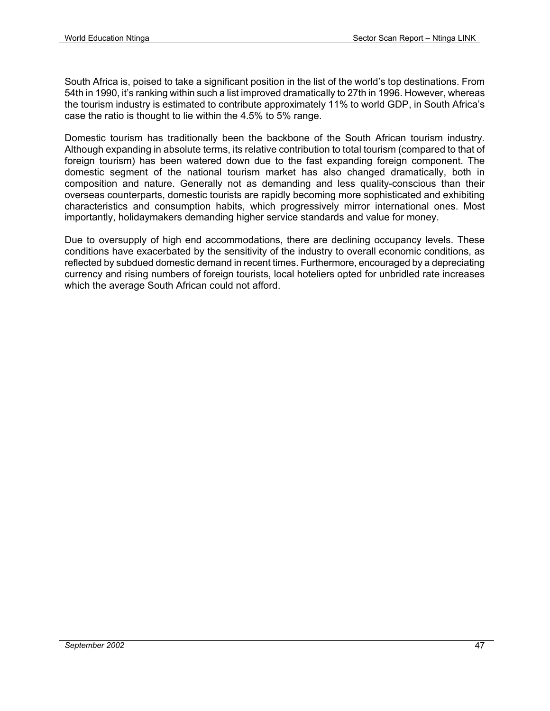South Africa is, poised to take a significant position in the list of the world's top destinations. From 54th in 1990, it's ranking within such a list improved dramatically to 27th in 1996. However, whereas the tourism industry is estimated to contribute approximately 11% to world GDP, in South Africa's case the ratio is thought to lie within the 4.5% to 5% range.

Domestic tourism has traditionally been the backbone of the South African tourism industry. Although expanding in absolute terms, its relative contribution to total tourism (compared to that of foreign tourism) has been watered down due to the fast expanding foreign component. The domestic segment of the national tourism market has also changed dramatically, both in composition and nature. Generally not as demanding and less quality-conscious than their overseas counterparts, domestic tourists are rapidly becoming more sophisticated and exhibiting characteristics and consumption habits, which progressively mirror international ones. Most importantly, holidaymakers demanding higher service standards and value for money.

Due to oversupply of high end accommodations, there are declining occupancy levels. These conditions have exacerbated by the sensitivity of the industry to overall economic conditions, as reflected by subdued domestic demand in recent times. Furthermore, encouraged by a depreciating currency and rising numbers of foreign tourists, local hoteliers opted for unbridled rate increases which the average South African could not afford.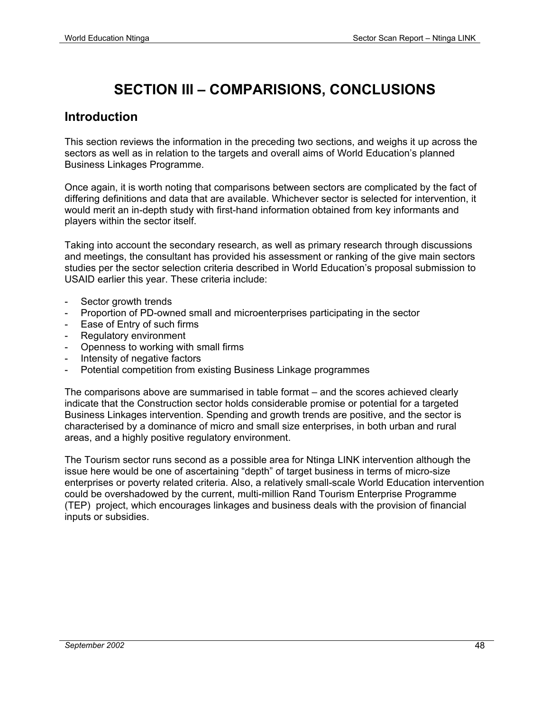# **SECTION III – COMPARISIONS, CONCLUSIONS**

#### **Introduction**

This section reviews the information in the preceding two sections, and weighs it up across the sectors as well as in relation to the targets and overall aims of World Education's planned Business Linkages Programme.

Once again, it is worth noting that comparisons between sectors are complicated by the fact of differing definitions and data that are available. Whichever sector is selected for intervention, it would merit an in-depth study with first-hand information obtained from key informants and players within the sector itself.

Taking into account the secondary research, as well as primary research through discussions and meetings, the consultant has provided his assessment or ranking of the give main sectors studies per the sector selection criteria described in World Education's proposal submission to USAID earlier this year. These criteria include:

- Sector growth trends
- Proportion of PD-owned small and microenterprises participating in the sector
- Ease of Entry of such firms
- Regulatory environment
- Openness to working with small firms
- Intensity of negative factors
- Potential competition from existing Business Linkage programmes

The comparisons above are summarised in table format – and the scores achieved clearly indicate that the Construction sector holds considerable promise or potential for a targeted Business Linkages intervention. Spending and growth trends are positive, and the sector is characterised by a dominance of micro and small size enterprises, in both urban and rural areas, and a highly positive regulatory environment.

The Tourism sector runs second as a possible area for Ntinga LINK intervention although the issue here would be one of ascertaining "depth" of target business in terms of micro-size enterprises or poverty related criteria. Also, a relatively small-scale World Education intervention could be overshadowed by the current, multi-million Rand Tourism Enterprise Programme (TEP) project, which encourages linkages and business deals with the provision of financial inputs or subsidies.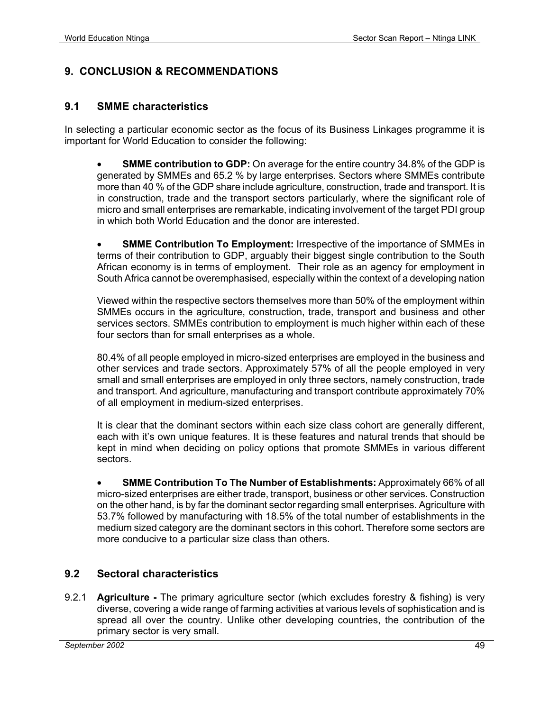#### **9. CONCLUSION & RECOMMENDATIONS**

#### **9.1 SMME characteristics**

In selecting a particular economic sector as the focus of its Business Linkages programme it is important for World Education to consider the following:

• **SMME contribution to GDP:** On average for the entire country 34.8% of the GDP is generated by SMMEs and 65.2 % by large enterprises. Sectors where SMMEs contribute more than 40 % of the GDP share include agriculture, construction, trade and transport. It is in construction, trade and the transport sectors particularly, where the significant role of micro and small enterprises are remarkable, indicating involvement of the target PDI group in which both World Education and the donor are interested.

**SMME Contribution To Employment:** Irrespective of the importance of SMMEs in terms of their contribution to GDP, arguably their biggest single contribution to the South African economy is in terms of employment. Their role as an agency for employment in South Africa cannot be overemphasised, especially within the context of a developing nation

Viewed within the respective sectors themselves more than 50% of the employment within SMMEs occurs in the agriculture, construction, trade, transport and business and other services sectors. SMMEs contribution to employment is much higher within each of these four sectors than for small enterprises as a whole.

80.4% of all people employed in micro-sized enterprises are employed in the business and other services and trade sectors. Approximately 57% of all the people employed in very small and small enterprises are employed in only three sectors, namely construction, trade and transport. And agriculture, manufacturing and transport contribute approximately 70% of all employment in medium-sized enterprises.

It is clear that the dominant sectors within each size class cohort are generally different, each with it's own unique features. It is these features and natural trends that should be kept in mind when deciding on policy options that promote SMMEs in various different sectors.

• **SMME Contribution To The Number of Establishments:** Approximately 66% of all micro-sized enterprises are either trade, transport, business or other services. Construction on the other hand, is by far the dominant sector regarding small enterprises. Agriculture with 53.7% followed by manufacturing with 18.5% of the total number of establishments in the medium sized category are the dominant sectors in this cohort. Therefore some sectors are more conducive to a particular size class than others.

#### **9.2 Sectoral characteristics**

9.2.1 **Agriculture -** The primary agriculture sector (which excludes forestry & fishing) is very diverse, covering a wide range of farming activities at various levels of sophistication and is spread all over the country. Unlike other developing countries, the contribution of the primary sector is very small.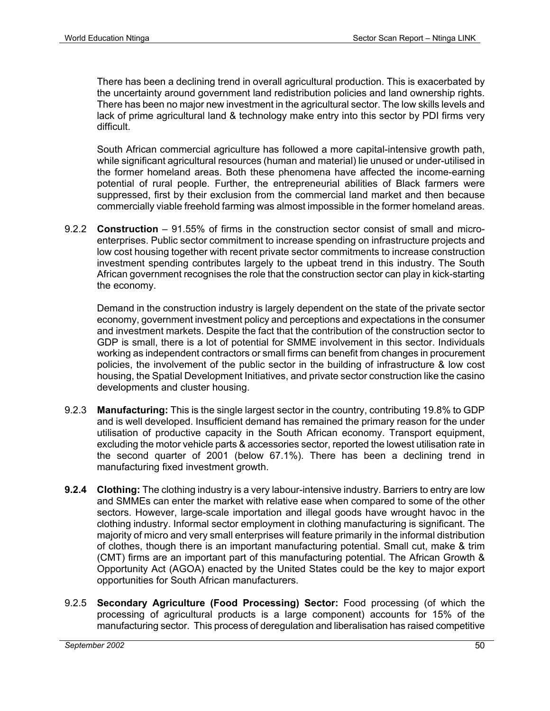There has been a declining trend in overall agricultural production. This is exacerbated by the uncertainty around government land redistribution policies and land ownership rights. There has been no major new investment in the agricultural sector. The low skills levels and lack of prime agricultural land & technology make entry into this sector by PDI firms very difficult.

South African commercial agriculture has followed a more capital-intensive growth path, while significant agricultural resources (human and material) lie unused or under-utilised in the former homeland areas. Both these phenomena have affected the income-earning potential of rural people. Further, the entrepreneurial abilities of Black farmers were suppressed, first by their exclusion from the commercial land market and then because commercially viable freehold farming was almost impossible in the former homeland areas.

9.2.2 **Construction** – 91.55% of firms in the construction sector consist of small and microenterprises. Public sector commitment to increase spending on infrastructure projects and low cost housing together with recent private sector commitments to increase construction investment spending contributes largely to the upbeat trend in this industry. The South African government recognises the role that the construction sector can play in kick-starting the economy.

Demand in the construction industry is largely dependent on the state of the private sector economy, government investment policy and perceptions and expectations in the consumer and investment markets. Despite the fact that the contribution of the construction sector to GDP is small, there is a lot of potential for SMME involvement in this sector. Individuals working as independent contractors or small firms can benefit from changes in procurement policies, the involvement of the public sector in the building of infrastructure & low cost housing, the Spatial Development Initiatives, and private sector construction like the casino developments and cluster housing.

- 9.2.3 **Manufacturing:** This is the single largest sector in the country, contributing 19.8% to GDP and is well developed. Insufficient demand has remained the primary reason for the under utilisation of productive capacity in the South African economy. Transport equipment, excluding the motor vehicle parts & accessories sector, reported the lowest utilisation rate in the second quarter of 2001 (below 67.1%). There has been a declining trend in manufacturing fixed investment growth.
- **9.2.4 Clothing:** The clothing industry is a very labour-intensive industry. Barriers to entry are low and SMMEs can enter the market with relative ease when compared to some of the other sectors. However, large-scale importation and illegal goods have wrought havoc in the clothing industry. Informal sector employment in clothing manufacturing is significant. The majority of micro and very small enterprises will feature primarily in the informal distribution of clothes, though there is an important manufacturing potential. Small cut, make & trim (CMT) firms are an important part of this manufacturing potential. The African Growth & Opportunity Act (AGOA) enacted by the United States could be the key to major export opportunities for South African manufacturers.
- 9.2.5 **Secondary Agriculture (Food Processing) Sector:** Food processing (of which the processing of agricultural products is a large component) accounts for 15% of the manufacturing sector. This process of deregulation and liberalisation has raised competitive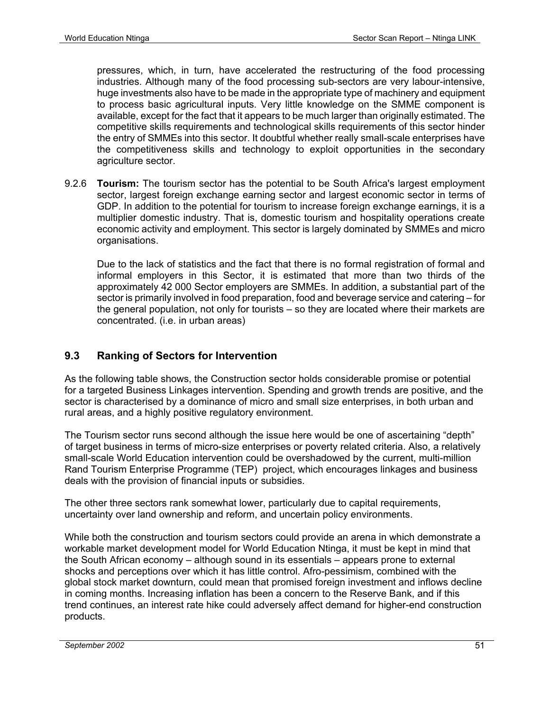pressures, which, in turn, have accelerated the restructuring of the food processing industries. Although many of the food processing sub-sectors are very labour-intensive, huge investments also have to be made in the appropriate type of machinery and equipment to process basic agricultural inputs. Very little knowledge on the SMME component is available, except for the fact that it appears to be much larger than originally estimated. The competitive skills requirements and technological skills requirements of this sector hinder the entry of SMMEs into this sector. It doubtful whether really small-scale enterprises have the competitiveness skills and technology to exploit opportunities in the secondary agriculture sector.

9.2.6 **Tourism:** The tourism sector has the potential to be South Africa's largest employment sector, largest foreign exchange earning sector and largest economic sector in terms of GDP. In addition to the potential for tourism to increase foreign exchange earnings, it is a multiplier domestic industry. That is, domestic tourism and hospitality operations create economic activity and employment. This sector is largely dominated by SMMEs and micro organisations.

Due to the lack of statistics and the fact that there is no formal registration of formal and informal employers in this Sector, it is estimated that more than two thirds of the approximately 42 000 Sector employers are SMMEs. In addition, a substantial part of the sector is primarily involved in food preparation, food and beverage service and catering – for the general population, not only for tourists – so they are located where their markets are concentrated. (i.e. in urban areas)

#### **9.3 Ranking of Sectors for Intervention**

As the following table shows, the Construction sector holds considerable promise or potential for a targeted Business Linkages intervention. Spending and growth trends are positive, and the sector is characterised by a dominance of micro and small size enterprises, in both urban and rural areas, and a highly positive regulatory environment.

The Tourism sector runs second although the issue here would be one of ascertaining "depth" of target business in terms of micro-size enterprises or poverty related criteria. Also, a relatively small-scale World Education intervention could be overshadowed by the current, multi-million Rand Tourism Enterprise Programme (TEP) project, which encourages linkages and business deals with the provision of financial inputs or subsidies.

The other three sectors rank somewhat lower, particularly due to capital requirements, uncertainty over land ownership and reform, and uncertain policy environments.

While both the construction and tourism sectors could provide an arena in which demonstrate a workable market development model for World Education Ntinga, it must be kept in mind that the South African economy – although sound in its essentials – appears prone to external shocks and perceptions over which it has little control. Afro-pessimism, combined with the global stock market downturn, could mean that promised foreign investment and inflows decline in coming months. Increasing inflation has been a concern to the Reserve Bank, and if this trend continues, an interest rate hike could adversely affect demand for higher-end construction products.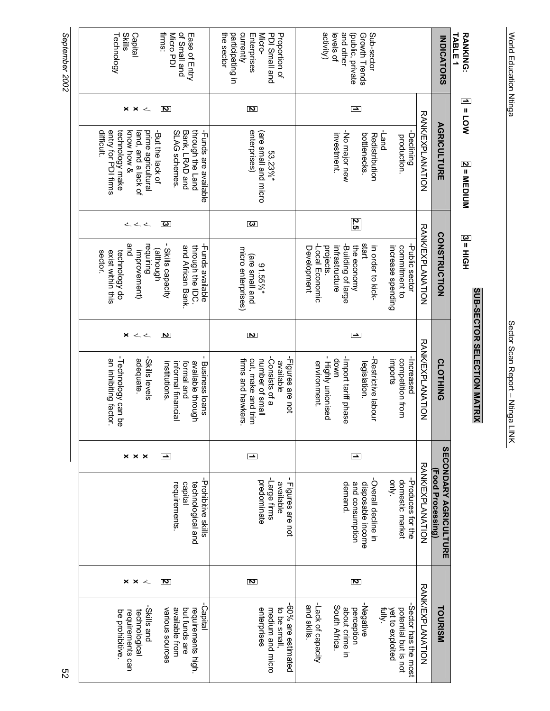| <b>Skills</b><br>firms:<br>Micro PDI<br>of Small and<br>Technology<br>Capital<br>Ease of Entry                                                                                                                     | the sector<br>participating in<br>currently<br>Micro-<br>PDI Small and<br>Proportion of<br>Enterprises        | activity)<br>and other<br>Sub-sector<br>(public, private<br>levels of<br>Growth Trends                                                                                                                          | <b>INDICATORS</b>                                       | <b>RANKING:</b><br><b>TABLE 1</b>  |
|--------------------------------------------------------------------------------------------------------------------------------------------------------------------------------------------------------------------|---------------------------------------------------------------------------------------------------------------|-----------------------------------------------------------------------------------------------------------------------------------------------------------------------------------------------------------------|---------------------------------------------------------|------------------------------------|
| $\pmb{\times}$<br>ट<br>×<br>$\sim$                                                                                                                                                                                 | <u>ਟ</u>                                                                                                      | ſ                                                                                                                                                                                                               |                                                         | $\overline{M}$ = LOW               |
| entry for PDI firms<br>difficult.<br>technology make<br>Bank, LRAD and<br>through the Land<br>know how &<br>SLAG schemes.<br>-Funds are available<br>land, and a lack of<br>prime agricultural<br>-But the lack of | enterprises)<br>(are small and micro<br>53.23%*                                                               | <b>RANKEXPLANTION</b><br>pue <sub>T</sub> -<br>-Declining<br>-No major new<br>investment.<br>bottlenecks.<br>Redistribution<br>production.                                                                      | <b>AGRICULTURE</b>                                      | 2 = MEDIUM                         |
| ξ<br>くく                                                                                                                                                                                                            | S                                                                                                             | 2.5                                                                                                                                                                                                             |                                                         |                                    |
| and<br>- Skills capacity<br>requiring<br>Funds available<br>and African Bank.<br>through the IDC.<br>(although<br>improvement)<br>exist within this<br>technology do<br>Sector.                                    | micro enterprises)<br>(are small and<br>91.55%*                                                               | <b>RANKEXPLANTION</b><br>start<br>-Public sector<br>Building of large<br>in order to kick-<br>commitment to<br>projects.<br>infrastructure<br>the economy<br>increase spending<br>Development<br>Local Economic | <b>CONSTRUCTION</b>                                     | 3 = HIGH                           |
| ×<br>2<br>$\sim$ $\sim$                                                                                                                                                                                            | Z                                                                                                             | I                                                                                                                                                                                                               |                                                         |                                    |
| -Technology can be<br>-Skills levels<br>an inhibiting factor.<br>adequate.<br><b>Business loans</b><br>available through<br>informal financial<br><b>bue</b> leuu<br>institutions                                  | -Consists of a<br>-Figures are not<br>number of small<br>cut, make and trim<br>firms and hawkers<br>available | <b>RANKEXPLANTION</b><br>- Highly unionised<br>-Import tariff phase<br>-Increased<br>-Restrictive labour<br>down<br>competition from<br>imports<br>environment.<br>legislation.                                 | <b>CLOTHING</b>                                         | <b>SUB-SECTOR SELECTION MATRIX</b> |
| $\times$ $\times$<br>$\boldsymbol{\times}$<br>p                                                                                                                                                                    | J                                                                                                             | ŀ                                                                                                                                                                                                               |                                                         |                                    |
| -Prohibitive skills<br>capital<br>technological and<br>requirements                                                                                                                                                | -Large firms<br>predominate<br>available<br>Figures are not                                                   | RANKEXPLANATION<br>-Produces for the<br>-Overall decline in<br>only.<br>domestic market<br>and consumption<br>disposable income<br>demand.                                                                      | <b>SECONDARY AGRICULTURE</b><br><b>Food Processing)</b> |                                    |
| Z<br>$\times$ $\times$<br>$\sim$                                                                                                                                                                                   | Z                                                                                                             | Z                                                                                                                                                                                                               |                                                         |                                    |
| -Capital<br>-Skills and<br>available from<br>but funds are<br>requirements high.<br>various suurces<br>technological<br>be prohibitive<br>requirements can                                                         | -60% are estimated<br>enterprises<br>medium and micro<br>to be small,                                         | RANKEXPLANATION<br>-Lack of capacity<br>-Negative<br>-Sector has the most<br>and skills.<br>South Africa.<br>about crime in<br>perception<br>fully.<br>potential but is not<br>yet to exploited                 | <b>TOURISM</b>                                          |                                    |

World Education Ntinga Sector Scan Report – Ntinga LINK

Sector Scan Report - Ntinga LINK

World Education Ntinga

September 2002 *September 2002*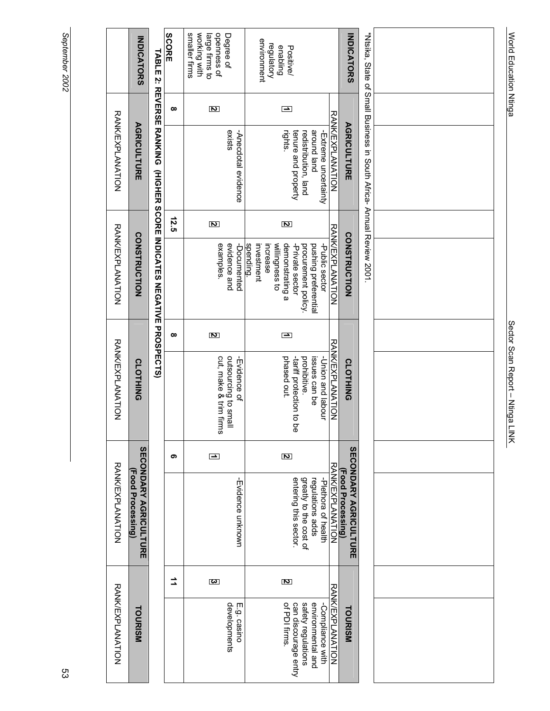| ï |
|---|
|   |
|   |
|   |
|   |
|   |
|   |
|   |
|   |
|   |
|   |
|   |

|                         | <b>IDICATOR</b>                        |
|-------------------------|----------------------------------------|
| <b>JANK EXPLANAHION</b> | <b>AGRICULTURE</b>                     |
| RANK/EXPLANAHION        | <b>SONSTRUCTION</b>                    |
| <b>JANKEXPLANAHION</b>  | <b>CLOTHING</b>                        |
| <b>RANK/EXPLANATION</b> | <b>ECONDARY AGRICULTURE</b><br>Food P. |
| RANK/EXPLANATION        | <b>TOURISI</b>                         |

# TABLE 2: REVERSE RANKING (HIGHER SCORE INDICATES NEGATIVE PROSPECTS) **TABLE 2: REVERSE RANKING (HIGHER SCORE INDICATES NEGATIVE PROSPECTS)**

| <b>SCORE</b> | smaller firms<br>openness of<br>working with<br>Degree of<br>large firms to | environment<br>regulatory<br>enabling<br>Positive/                                                                                                                                   | <b>INDICATORS</b>                                 |
|--------------|-----------------------------------------------------------------------------|--------------------------------------------------------------------------------------------------------------------------------------------------------------------------------------|---------------------------------------------------|
| ∞            | Z                                                                           | ŀ                                                                                                                                                                                    |                                                   |
|              | exists<br>-Anecdotal evidence                                               | <b>RANKEXPLANATION</b><br>puel punoue<br>-Extreme uncertainty<br>rights.<br>tenure and property<br>redistribution, land                                                              | <b>AGRICULTURE</b>                                |
| 12.5         | Z                                                                           | Z                                                                                                                                                                                    |                                                   |
|              | examples.<br>evidence and<br>-Documented                                    | <b>RANK/EXPLANNHON</b><br>-Public sector<br>spending.<br>pushing preferentia<br>investment<br>demonstrating a<br>-Private sector<br>procurement policy<br>increase<br>willingness to | <b>CONSTRUCTION</b>                               |
| ထ            | 2                                                                           |                                                                                                                                                                                      |                                                   |
|              | cut, make & trim firms<br>llama di gingurcing<br>-Evidence of               | <b>RANK/FXPLANNANION</b><br>-Union and labour<br>phased out.<br>prohibitive.<br>tari# protection to pe<br>issues can be                                                              | <b>CLOTHING</b>                                   |
|              | ŀ                                                                           | Z                                                                                                                                                                                    |                                                   |
|              | -Evidence unknowr                                                           | RANKEXPLANTON<br>-Plethora of health<br>greatly to the cost of<br>entering this sector<br>regulations adds                                                                           | <b>SECONDARY AGRICULTURE</b><br>(Food Processing) |
|              | s                                                                           | Z                                                                                                                                                                                    |                                                   |
|              | developments<br>E.g. casino                                                 | <b>RANKUXPLANATION</b><br>-Compliance with<br>of PDI firms<br>safety regulations<br>environmental and<br>can discourage entry                                                        | <b>TOURISM</b>                                    |

| *Nisika, State of Small Business in South Africa- Annual Review 2001. |  |
|-----------------------------------------------------------------------|--|
|                                                                       |  |
|                                                                       |  |
|                                                                       |  |
|                                                                       |  |
|                                                                       |  |
|                                                                       |  |
|                                                                       |  |
|                                                                       |  |
|                                                                       |  |
|                                                                       |  |
|                                                                       |  |
|                                                                       |  |
|                                                                       |  |
|                                                                       |  |
|                                                                       |  |
|                                                                       |  |
|                                                                       |  |
|                                                                       |  |
|                                                                       |  |
|                                                                       |  |
|                                                                       |  |
|                                                                       |  |
|                                                                       |  |

World Education Ntinga Sector Scan Report – Ntinga LINK

Sector Scan Report - Ntinga LINK

World Education Ntinga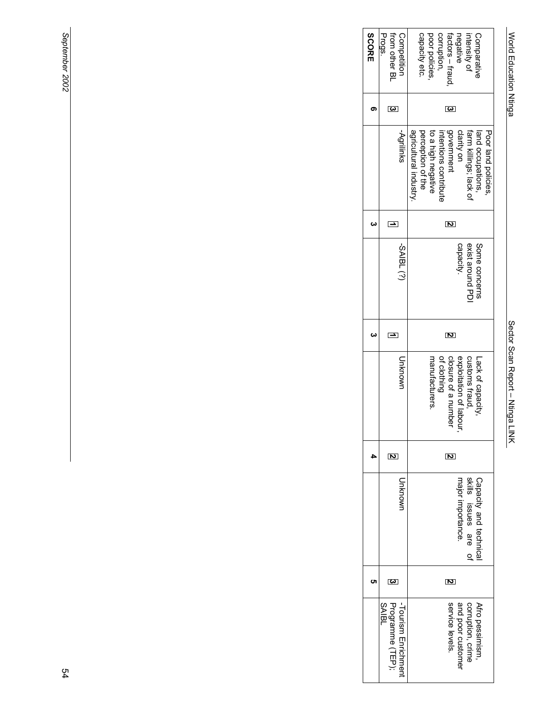# World Education Ntinga

World Education Ntinga Sector Scan Report – Ntinga LINK Sector Scan Report - Ntinga LINK

| Progs.<br>from other BL<br>Competition                  | capacity etc.<br>poor policies<br>corruption,<br>factors – fraud<br>negative<br>Comparative<br>intensity of                                                                                  |
|---------------------------------------------------------|----------------------------------------------------------------------------------------------------------------------------------------------------------------------------------------------|
| S                                                       | င္ခ                                                                                                                                                                                          |
| -Agrilinks                                              | government<br>agricultural industry<br>perception of the<br>clarity on<br>Poor land policies<br>farm killings; lack of<br>to a high negative<br>interripris contriprite<br>land occupations, |
| Ŀ                                                       | Z                                                                                                                                                                                            |
| $-$ SAIBL $(?)$                                         | Some concerns<br>capacity<br>exist around PD                                                                                                                                                 |
| ŀ                                                       | Z                                                                                                                                                                                            |
| Uwonknu                                                 | manufacturers.<br>of clothing<br>closure of a number<br>exploitation of labour,<br>customs fraud,<br>Lack of capacity                                                                        |
| Ζ                                                       | 2                                                                                                                                                                                            |
| Uwonkn                                                  | skills issues are of<br>Capacity and technical<br>major importance.                                                                                                                          |
| S                                                       | 2                                                                                                                                                                                            |
| Programme (TEP);<br>-Tourism Enrichment<br><b>SAIBL</b> | service levels.<br>Afro pessimism,<br>corruption, crime<br>and poor customer                                                                                                                 |
|                                                         |                                                                                                                                                                                              |

September 2002 *September 2002*